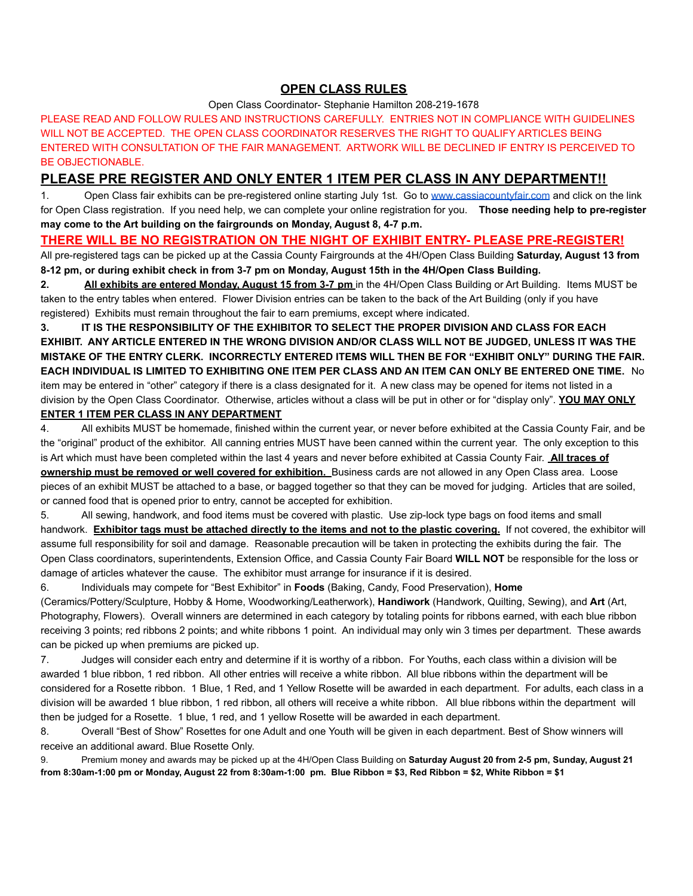## **OPEN CLASS RULES**

### Open Class Coordinator- Stephanie Hamilton 208-219-1678

PLEASE READ AND FOLLOW RULES AND INSTRUCTIONS CAREFULLY. ENTRIES NOT IN COMPLIANCE WITH GUIDELINES WILL NOT BE ACCEPTED. THE OPEN CLASS COORDINATOR RESERVES THE RIGHT TO QUALIFY ARTICLES BEING ENTERED WITH CONSULTATION OF THE FAIR MANAGEMENT. ARTWORK WILL BE DECLINED IF ENTRY IS PERCEIVED TO BE OBJECTIONABLE.

## **PLEASE PRE REGISTER AND ONLY ENTER 1 ITEM PER CLASS IN ANY DEPARTMENT!!**

1. Open Class fair exhibits can be pre-registered online starting July 1st. Go to [www.cassiacountyfair.com](http://www.cassiacountyfair.com) and click on the link for Open Class registration. If you need help, we can complete your online registration for you. **Those needing help to pre-register may come to the Art building on the fairgrounds on Monday, August 8, 4-7 p.m.**

## **THERE WILL BE NO REGISTRATION ON THE NIGHT OF EXHIBIT ENTRY- PLEASE PRE-REGISTER!**

All pre-registered tags can be picked up at the Cassia County Fairgrounds at the 4H/Open Class Building **Saturday, August 13 from 8-12 pm, or during exhibit check in from 3-7 pm on Monday, August 15th in the 4H/Open Class Building.**

**2. All exhibits are entered Monday, August 15 from 3-7 pm** in the 4H/Open Class Building or Art Building. Items MUST be taken to the entry tables when entered. Flower Division entries can be taken to the back of the Art Building (only if you have registered) Exhibits must remain throughout the fair to earn premiums, except where indicated.

**3. IT IS THE RESPONSIBILITY OF THE EXHIBITOR TO SELECT THE PROPER DIVISION AND CLASS FOR EACH EXHIBIT. ANY ARTICLE ENTERED IN THE WRONG DIVISION AND/OR CLASS WILL NOT BE JUDGED, UNLESS IT WAS THE MISTAKE OF THE ENTRY CLERK. INCORRECTLY ENTERED ITEMS WILL THEN BE FOR "EXHIBIT ONLY" DURING THE FAIR. EACH INDIVIDUAL IS LIMITED TO EXHIBITING ONE ITEM PER CLASS AND AN ITEM CAN ONLY BE ENTERED ONE TIME.** No item may be entered in "other" category if there is a class designated for it. A new class may be opened for items not listed in a division by the Open Class Coordinator. Otherwise, articles without a class will be put in other or for "display only". **YOU MAY ONLY**

## **ENTER 1 ITEM PER CLASS IN ANY DEPARTMENT**

4. All exhibits MUST be homemade, finished within the current year, or never before exhibited at the Cassia County Fair, and be the "original" product of the exhibitor. All canning entries MUST have been canned within the current year. The only exception to this is Art which must have been completed within the last 4 years and never before exhibited at Cassia County Fair. **All traces of ownership must be removed or well covered for exhibition.** Business cards are not allowed in any Open Class area. Loose pieces of an exhibit MUST be attached to a base, or bagged together so that they can be moved for judging. Articles that are soiled, or canned food that is opened prior to entry, cannot be accepted for exhibition.

5. All sewing, handwork, and food items must be covered with plastic. Use zip-lock type bags on food items and small handwork. **Exhibitor tags must be attached directly to the items and not to the plastic covering.** If not covered, the exhibitor will assume full responsibility for soil and damage. Reasonable precaution will be taken in protecting the exhibits during the fair. The Open Class coordinators, superintendents, Extension Office, and Cassia County Fair Board **WILL NOT** be responsible for the loss or damage of articles whatever the cause. The exhibitor must arrange for insurance if it is desired.

6. Individuals may compete for "Best Exhibitor" in **Foods** (Baking, Candy, Food Preservation), **Home** (Ceramics/Pottery/Sculpture, Hobby & Home, Woodworking/Leatherwork), **Handiwork** (Handwork, Quilting, Sewing), and **Art** (Art, Photography, Flowers). Overall winners are determined in each category by totaling points for ribbons earned, with each blue ribbon receiving 3 points; red ribbons 2 points; and white ribbons 1 point. An individual may only win 3 times per department. These awards can be picked up when premiums are picked up.

7. Judges will consider each entry and determine if it is worthy of a ribbon. For Youths, each class within a division will be awarded 1 blue ribbon, 1 red ribbon. All other entries will receive a white ribbon. All blue ribbons within the department will be considered for a Rosette ribbon. 1 Blue, 1 Red, and 1 Yellow Rosette will be awarded in each department. For adults, each class in a division will be awarded 1 blue ribbon, 1 red ribbon, all others will receive a white ribbon. All blue ribbons within the department will then be judged for a Rosette. 1 blue, 1 red, and 1 yellow Rosette will be awarded in each department.

8. Overall "Best of Show" Rosettes for one Adult and one Youth will be given in each department. Best of Show winners will receive an additional award. Blue Rosette Only.

9. Premium money and awards may be picked up at the 4H/Open Class Building on **Saturday August 20 from 2-5 pm, Sunday, August 21** from 8:30am-1:00 pm or Monday, August 22 from 8:30am-1:00 pm. Blue Ribbon = \$3, Red Ribbon = \$2, White Ribbon = \$1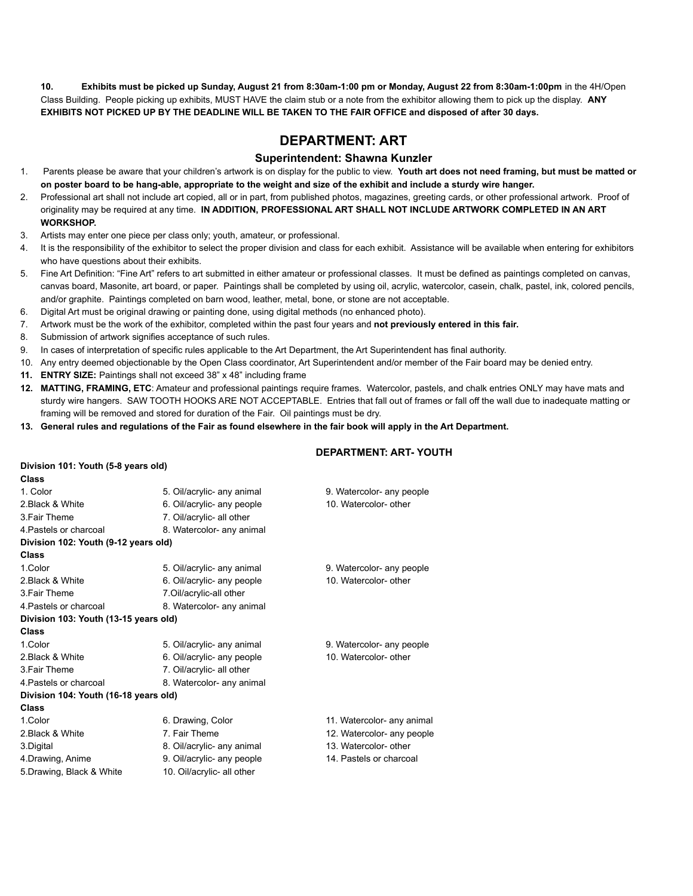10. Exhibits must be picked up Sunday, August 21 from 8:30am-1:00 pm or Monday, August 22 from 8:30am-1:00pm in the 4H/Open Class Building. People picking up exhibits, MUST HAVE the claim stub or a note from the exhibitor allowing them to pick up the display. **ANY** EXHIBITS NOT PICKED UP BY THE DEADLINE WILL BE TAKEN TO THE FAIR OFFICE and disposed of after 30 days.

# **DEPARTMENT: ART**

## **Superintendent: Shawna Kunzler**

- 1. Parents please be aware that your children's artwork is on display for the public to view. Youth art does not need framing, but must be matted or on poster board to be hang-able, appropriate to the weight and size of the exhibit and include a sturdy wire hanger.
- 2. Professional art shall not include art copied, all or in part, from published photos, magazines, greeting cards, or other professional artwork. Proof of originality may be required at any time. **IN ADDITION, PROFESSIONAL ART SHALL NOT INCLUDE ARTWORK COMPLETED IN AN ART WORKSHOP.**
- 3. Artists may enter one piece per class only; youth, amateur, or professional.
- 4. It is the responsibility of the exhibitor to select the proper division and class for each exhibit. Assistance will be available when entering for exhibitors who have questions about their exhibits.
- 5. Fine Art Definition: "Fine Art" refers to art submitted in either amateur or professional classes. It must be defined as paintings completed on canvas, canvas board, Masonite, art board, or paper. Paintings shall be completed by using oil, acrylic, watercolor, casein, chalk, pastel, ink, colored pencils, and/or graphite. Paintings completed on barn wood, leather, metal, bone, or stone are not acceptable.
- 6. Digital Art must be original drawing or painting done, using digital methods (no enhanced photo).
- 7. Artwork must be the work of the exhibitor, completed within the past four years and **not previously entered in this fair.**
- 8. Submission of artwork signifies acceptance of such rules.

**Division 101: Youth (5-8 years old)**

- 9. In cases of interpretation of specific rules applicable to the Art Department, the Art Superintendent has final authority.
- 10. Any entry deemed objectionable by the Open Class coordinator, Art Superintendent and/or member of the Fair board may be denied entry.
- **11. ENTRY SIZE:** Paintings shall not exceed 38" x 48" including frame
- **12. MATTING, FRAMING, ETC**: Amateur and professional paintings require frames. Watercolor, pastels, and chalk entries ONLY may have mats and sturdy wire hangers. SAW TOOTH HOOKS ARE NOT ACCEPTABLE. Entries that fall out of frames or fall off the wall due to inadequate matting or framing will be removed and stored for duration of the Fair. Oil paintings must be dry.
- 13. General rules and regulations of the Fair as found elsewhere in the fair book will apply in the Art Department.

### **DEPARTMENT: ART- YOUTH**

| <b>Class</b>                          |                            |                            |
|---------------------------------------|----------------------------|----------------------------|
| 1. Color                              | 5. Oil/acrylic- any animal | 9. Watercolor- any people  |
| 2. Black & White                      | 6. Oil/acrylic- any people | 10. Watercolor- other      |
| 3. Fair Theme                         | 7. Oil/acrylic- all other  |                            |
| 4 Pastels or charcoal                 | 8. Watercolor- any animal  |                            |
| Division 102: Youth (9-12 years old)  |                            |                            |
| <b>Class</b>                          |                            |                            |
| 1.Color                               | 5. Oil/acrylic- any animal | 9. Watercolor- any people  |
| 2. Black & White                      | 6. Oil/acrylic- any people | 10. Watercolor- other      |
| 3. Fair Theme                         | 7.Oil/acrylic-all other    |                            |
| 4 Pastels or charcoal                 | 8. Watercolor- any animal  |                            |
| Division 103: Youth (13-15 years old) |                            |                            |
| <b>Class</b>                          |                            |                            |
| 1.Color                               | 5. Oil/acrylic- any animal | 9. Watercolor- any people  |
| 2. Black & White                      | 6. Oil/acrylic- any people | 10. Watercolor- other      |
| 3. Fair Theme                         | 7. Oil/acrylic- all other  |                            |
| 4 Pastels or charcoal                 | 8. Watercolor- any animal  |                            |
| Division 104: Youth (16-18 years old) |                            |                            |
| <b>Class</b>                          |                            |                            |
| 1.Color                               | 6. Drawing, Color          | 11. Watercolor- any animal |
| 2. Black & White                      | 7. Fair Theme              | 12. Watercolor- any people |
| 3.Digital                             | 8. Oil/acrylic- any animal | 13. Watercolor- other      |
| 4. Drawing, Anime                     | 9. Oil/acrylic- any people | 14. Pastels or charcoal    |
| 5. Drawing, Black & White             | 10. Oil/acrylic- all other |                            |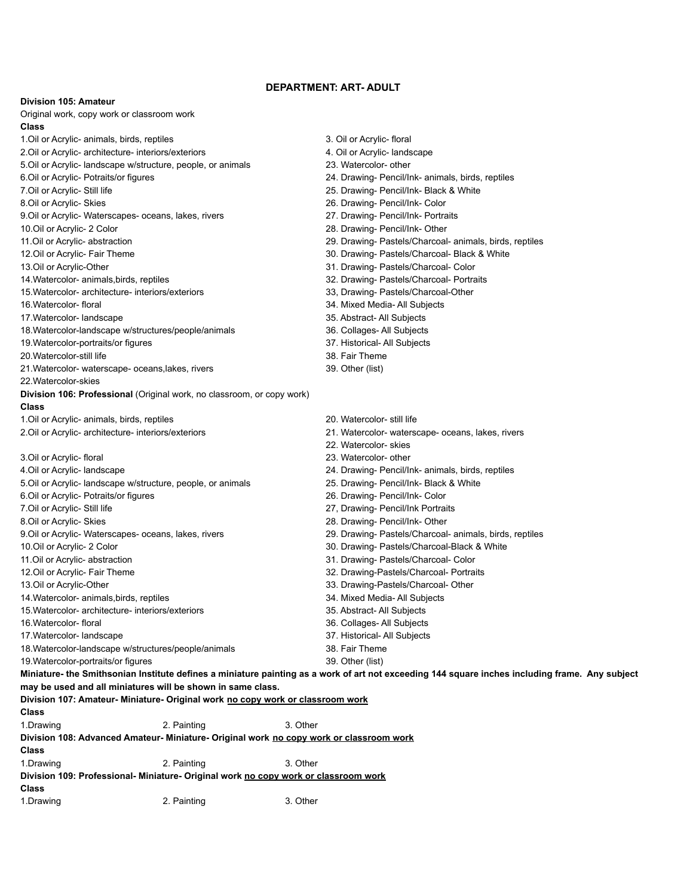## **DEPARTMENT: ART- ADULT**

## **Division 105: Amateur**

| Original work, copy work or classroom work<br>Class                                              |             |          |                                                                                                                                                 |
|--------------------------------------------------------------------------------------------------|-------------|----------|-------------------------------------------------------------------------------------------------------------------------------------------------|
| 1. Oil or Acrylic- animals, birds, reptiles                                                      |             |          | 3. Oil or Acrylic- floral                                                                                                                       |
| 2. Oil or Acrylic- architecture- interiors/exteriors                                             |             |          | 4. Oil or Acrylic- landscape                                                                                                                    |
| 5. Oil or Acrylic- landscape w/structure, people, or animals                                     |             |          | 23. Watercolor- other                                                                                                                           |
| 6. Oil or Acrylic- Potraits/or figures                                                           |             |          | 24. Drawing- Pencil/Ink- animals, birds, reptiles                                                                                               |
| 7. Oil or Acrylic- Still life                                                                    |             |          | 25. Drawing- Pencil/Ink- Black & White                                                                                                          |
| 8.Oil or Acrylic- Skies                                                                          |             |          | 26. Drawing- Pencil/Ink- Color                                                                                                                  |
| 9. Oil or Acrylic- Waterscapes- oceans, lakes, rivers                                            |             |          | 27. Drawing- Pencil/Ink- Portraits                                                                                                              |
| 10.0il or Acrylic- 2 Color                                                                       |             |          | 28. Drawing- Pencil/Ink- Other                                                                                                                  |
| 11.Oil or Acrylic- abstraction                                                                   |             |          | 29. Drawing- Pastels/Charcoal- animals, birds, reptiles                                                                                         |
| 12.Oil or Acrylic- Fair Theme                                                                    |             |          | 30. Drawing- Pastels/Charcoal- Black & White                                                                                                    |
| 13.Oil or Acrylic-Other                                                                          |             |          | 31. Drawing- Pastels/Charcoal- Color                                                                                                            |
| 14. Watercolor- animals, birds, reptiles                                                         |             |          | 32. Drawing- Pastels/Charcoal- Portraits                                                                                                        |
| 15. Watercolor- architecture- interiors/exteriors                                                |             |          | 33, Drawing- Pastels/Charcoal-Other                                                                                                             |
| 16. Watercolor-floral                                                                            |             |          | 34. Mixed Media- All Subjects                                                                                                                   |
| 17. Watercolor-landscape                                                                         |             |          | 35. Abstract- All Subjects                                                                                                                      |
| 18. Watercolor-landscape w/structures/people/animals                                             |             |          | 36. Collages- All Subjects                                                                                                                      |
| 19. Watercolor-portraits/or figures                                                              |             |          | 37. Historical- All Subjects                                                                                                                    |
| 20. Watercolor-still life                                                                        |             |          | 38. Fair Theme                                                                                                                                  |
| 21. Watercolor- waterscape- oceans, lakes, rivers                                                |             |          | 39. Other (list)                                                                                                                                |
| 22. Watercolor-skies                                                                             |             |          |                                                                                                                                                 |
| Division 106: Professional (Original work, no classroom, or copy work)                           |             |          |                                                                                                                                                 |
| Class                                                                                            |             |          |                                                                                                                                                 |
| 1. Oil or Acrylic- animals, birds, reptiles                                                      |             |          | 20. Watercolor- still life                                                                                                                      |
| 2. Oil or Acrylic- architecture- interiors/exteriors                                             |             |          | 21. Watercolor- waterscape- oceans, lakes, rivers                                                                                               |
|                                                                                                  |             |          | 22. Watercolor- skies                                                                                                                           |
| 3. Oil or Acrylic- floral                                                                        |             |          | 23. Watercolor- other                                                                                                                           |
| 4. Oil or Acrylic- landscape                                                                     |             |          | 24. Drawing- Pencil/Ink- animals, birds, reptiles                                                                                               |
| 5. Oil or Acrylic- landscape w/structure, people, or animals                                     |             |          | 25. Drawing- Pencil/Ink- Black & White                                                                                                          |
| 6. Oil or Acrylic- Potraits/or figures                                                           |             |          | 26. Drawing- Pencil/Ink- Color                                                                                                                  |
| 7. Oil or Acrylic- Still life                                                                    |             |          | 27, Drawing- Pencil/Ink Portraits                                                                                                               |
| 8.Oil or Acrylic- Skies                                                                          |             |          | 28. Drawing- Pencil/Ink- Other                                                                                                                  |
| 9. Oil or Acrylic- Waterscapes- oceans, lakes, rivers                                            |             |          | 29. Drawing- Pastels/Charcoal- animals, birds, reptiles                                                                                         |
| 10.Oil or Acrylic- 2 Color                                                                       |             |          | 30. Drawing- Pastels/Charcoal-Black & White                                                                                                     |
| 11.Oil or Acrylic- abstraction                                                                   |             |          | 31. Drawing- Pastels/Charcoal- Color                                                                                                            |
| 12.Oil or Acrylic- Fair Theme                                                                    |             |          | 32. Drawing-Pastels/Charcoal- Portraits                                                                                                         |
| 13.Oil or Acrylic-Other                                                                          |             |          | 33. Drawing-Pastels/Charcoal- Other                                                                                                             |
| 14. Watercolor- animals, birds, reptiles                                                         |             |          | 34. Mixed Media- All Subjects                                                                                                                   |
| 15. Watercolor- architecture- interiors/exteriors                                                |             |          | 35. Abstract- All Subjects                                                                                                                      |
| 16. Watercolor-floral                                                                            |             |          | 36. Collages- All Subjects                                                                                                                      |
| 17. Watercolor-landscape                                                                         |             |          | 37. Historical- All Subjects                                                                                                                    |
| 18. Watercolor-landscape w/structures/people/animals                                             |             |          | 38. Fair Theme                                                                                                                                  |
| 19. Watercolor-portraits/or figures                                                              |             |          | 39. Other (list)                                                                                                                                |
|                                                                                                  |             |          | Miniature- the Smithsonian Institute defines a miniature painting as a work of art not exceeding 144 square inches including frame. Any subject |
| may be used and all miniatures will be shown in same class.                                      |             |          |                                                                                                                                                 |
| Division 107: Amateur- Miniature- Original work no copy work or classroom work                   |             |          |                                                                                                                                                 |
| Class                                                                                            |             |          |                                                                                                                                                 |
| 1.Drawing                                                                                        | 2. Painting | 3. Other |                                                                                                                                                 |
| Division 108: Advanced Amateur- Miniature- Original work no copy work or classroom work          |             |          |                                                                                                                                                 |
|                                                                                                  |             |          |                                                                                                                                                 |
| Class                                                                                            |             | 3. Other |                                                                                                                                                 |
| 1.Drawing<br>Division 109: Professional- Miniature- Original work no copy work or classroom work | 2. Painting |          |                                                                                                                                                 |
| Class                                                                                            |             |          |                                                                                                                                                 |
|                                                                                                  |             |          |                                                                                                                                                 |

1.Drawing 2. Painting 3. Other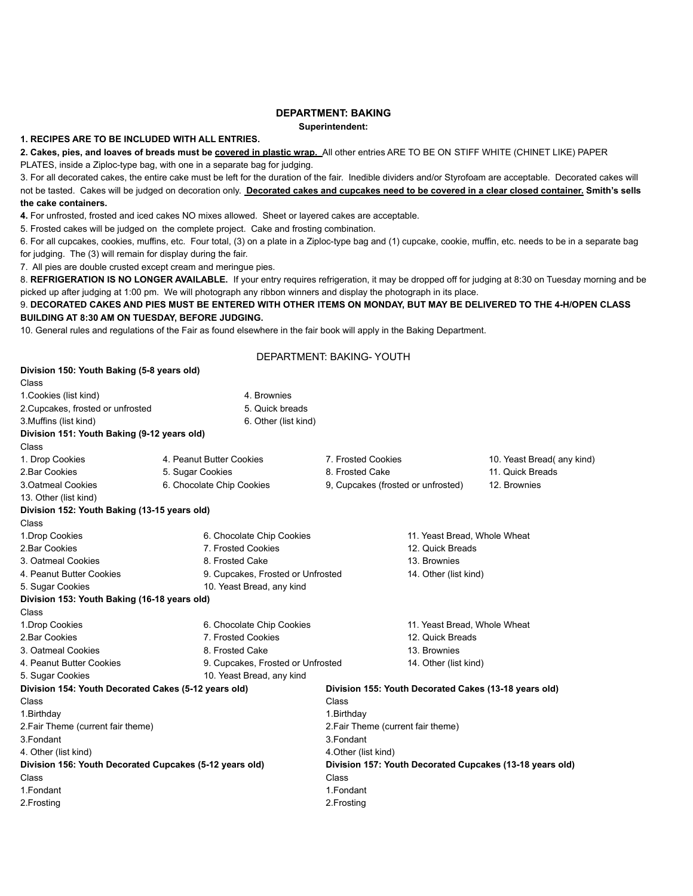## **DEPARTMENT: BAKING**

**Superintendent:**

## **1. RECIPES ARE TO BE INCLUDED WITH ALL ENTRIES.**

**2. Cakes, pies, and loaves of breads must be covered in plastic wrap.** All other entries ARE TO BE ON STIFF WHITE (CHINET LIKE) PAPER PLATES, inside a Ziploc-type bag, with one in a separate bag for judging.

3. For all decorated cakes, the entire cake must be left for the duration of the fair. Inedible dividers and/or Styrofoam are acceptable. Decorated cakes will not be tasted. Cakes will be judged on decoration only. Decorated cakes and cupcakes need to be covered in a clear closed container. Smith's sells **the cake containers.**

**4.** For unfrosted, frosted and iced cakes NO mixes allowed. Sheet or layered cakes are acceptable.

5. Frosted cakes will be judged on the complete project. Cake and frosting combination.

6. For all cupcakes, cookies, muffins, etc. Four total, (3) on a plate in a Ziploc-type bag and (1) cupcake, cookie, muffin, etc. needs to be in a separate bag for judging. The (3) will remain for display during the fair.

7. All pies are double crusted except cream and meringue pies.

8. **REFRIGERATION IS NO LONGER AVAILABLE.** If your entry requires refrigeration, it may be dropped off for judging at 8:30 on Tuesday morning and be picked up after judging at 1:00 pm. We will photograph any ribbon winners and display the photograph in its place.

#### 9. DECORATED CAKES AND PIES MUST BE ENTERED WITH OTHER ITEMS ON MONDAY, BUT MAY BE DELIVERED TO THE 4-H/OPEN CLASS **BUILDING AT 8:30 AM ON TUESDAY, BEFORE JUDGING.**

10. General rules and regulations of the Fair as found elsewhere in the fair book will apply in the Baking Department.

DEPARTMENT: BAKING- YOUTH

| Division 150: Youth Baking (5-8 years old)              |                                   |                                                          |                                    |                           |
|---------------------------------------------------------|-----------------------------------|----------------------------------------------------------|------------------------------------|---------------------------|
| Class                                                   |                                   |                                                          |                                    |                           |
| 1. Cookies (list kind)                                  | 4. Brownies                       |                                                          |                                    |                           |
| 2. Cupcakes, frosted or unfrosted                       | 5. Quick breads                   |                                                          |                                    |                           |
| 3. Muffins (list kind)                                  | 6. Other (list kind)              |                                                          |                                    |                           |
| Division 151: Youth Baking (9-12 years old)             |                                   |                                                          |                                    |                           |
| Class                                                   |                                   |                                                          |                                    |                           |
| 1. Drop Cookies                                         | 4. Peanut Butter Cookies          | 7. Frosted Cookies                                       |                                    | 10. Yeast Bread(any kind) |
| 2. Bar Cookies                                          | 5. Sugar Cookies                  | 8. Frosted Cake                                          |                                    | 11. Quick Breads          |
| 3. Oatmeal Cookies                                      | 6. Chocolate Chip Cookies         | 9, Cupcakes (frosted or unfrosted)                       |                                    | 12. Brownies              |
| 13. Other (list kind)                                   |                                   |                                                          |                                    |                           |
| Division 152: Youth Baking (13-15 years old)            |                                   |                                                          |                                    |                           |
| Class                                                   |                                   |                                                          |                                    |                           |
| 1. Drop Cookies                                         | 6. Chocolate Chip Cookies         |                                                          | 11. Yeast Bread, Whole Wheat       |                           |
| 2. Bar Cookies                                          | 7. Frosted Cookies                |                                                          | 12. Quick Breads                   |                           |
| 3. Oatmeal Cookies                                      | 8. Frosted Cake                   |                                                          | 13. Brownies                       |                           |
| 4. Peanut Butter Cookies                                | 9. Cupcakes, Frosted or Unfrosted |                                                          | 14. Other (list kind)              |                           |
| 5. Sugar Cookies                                        | 10. Yeast Bread, any kind         |                                                          |                                    |                           |
| Division 153: Youth Baking (16-18 years old)            |                                   |                                                          |                                    |                           |
| Class                                                   |                                   |                                                          |                                    |                           |
| 1. Drop Cookies                                         | 6. Chocolate Chip Cookies         |                                                          | 11. Yeast Bread, Whole Wheat       |                           |
| 2. Bar Cookies                                          | 7. Frosted Cookies                |                                                          | 12. Quick Breads                   |                           |
| 3. Oatmeal Cookies                                      | 8. Frosted Cake                   |                                                          | 13. Brownies                       |                           |
| 4. Peanut Butter Cookies                                | 9. Cupcakes, Frosted or Unfrosted |                                                          | 14. Other (list kind)              |                           |
| 5. Sugar Cookies                                        | 10. Yeast Bread, any kind         |                                                          |                                    |                           |
| Division 154: Youth Decorated Cakes (5-12 years old)    |                                   | Division 155: Youth Decorated Cakes (13-18 years old)    |                                    |                           |
| Class                                                   |                                   | Class                                                    |                                    |                           |
| 1. Birthday                                             |                                   | 1. Birthday                                              |                                    |                           |
| 2. Fair Theme (current fair theme)                      |                                   |                                                          | 2. Fair Theme (current fair theme) |                           |
| 3. Fondant                                              |                                   | 3. Fondant                                               |                                    |                           |
| 4. Other (list kind)                                    |                                   | 4. Other (list kind)                                     |                                    |                           |
| Division 156: Youth Decorated Cupcakes (5-12 years old) |                                   | Division 157: Youth Decorated Cupcakes (13-18 years old) |                                    |                           |
| Class                                                   |                                   | Class                                                    |                                    |                           |
| 1. Fondant                                              |                                   | 1. Fondant                                               |                                    |                           |
| 2. Frosting                                             |                                   | 2. Frosting                                              |                                    |                           |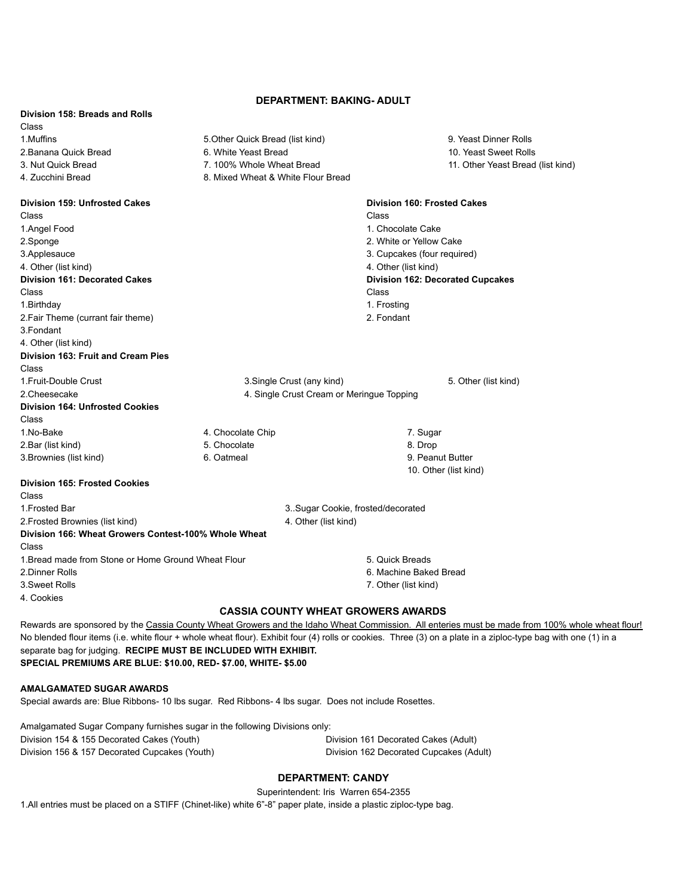## **DEPARTMENT: BAKING- ADULT**

| Division 158: Breads and Rolls                       |                                           |                                                                                                                                    |
|------------------------------------------------------|-------------------------------------------|------------------------------------------------------------------------------------------------------------------------------------|
| Class                                                |                                           |                                                                                                                                    |
| 1.Muffins                                            | 5. Other Quick Bread (list kind)          | 9. Yeast Dinner Rolls                                                                                                              |
| 2. Banana Quick Bread                                | 6. White Yeast Bread                      | 10. Yeast Sweet Rolls                                                                                                              |
| 3. Nut Quick Bread                                   | 7. 100% Whole Wheat Bread                 | 11. Other Yeast Bread (list kind)                                                                                                  |
| 4. Zucchini Bread                                    | 8. Mixed Wheat & White Flour Bread        |                                                                                                                                    |
| Division 159: Unfrosted Cakes                        |                                           | Division 160: Frosted Cakes                                                                                                        |
| Class                                                |                                           | Class                                                                                                                              |
| 1.Angel Food                                         |                                           | 1. Chocolate Cake                                                                                                                  |
| 2.Sponge                                             |                                           | 2. White or Yellow Cake                                                                                                            |
| 3.Applesauce                                         |                                           | 3. Cupcakes (four required)                                                                                                        |
| 4. Other (list kind)                                 |                                           | 4. Other (list kind)                                                                                                               |
| <b>Division 161: Decorated Cakes</b>                 |                                           | <b>Division 162: Decorated Cupcakes</b>                                                                                            |
| Class                                                |                                           | Class                                                                                                                              |
| 1. Birthday                                          |                                           | 1. Frosting                                                                                                                        |
| 2. Fair Theme (currant fair theme)                   |                                           | 2. Fondant                                                                                                                         |
| 3. Fondant                                           |                                           |                                                                                                                                    |
| 4. Other (list kind)                                 |                                           |                                                                                                                                    |
| <b>Division 163: Fruit and Cream Pies</b>            |                                           |                                                                                                                                    |
| Class                                                |                                           |                                                                                                                                    |
| 1. Fruit-Double Crust                                | 3. Single Crust (any kind)                | 5. Other (list kind)                                                                                                               |
| 2.Cheesecake                                         | 4. Single Crust Cream or Meringue Topping |                                                                                                                                    |
| <b>Division 164: Unfrosted Cookies</b>               |                                           |                                                                                                                                    |
| Class                                                |                                           |                                                                                                                                    |
| 1.No-Bake                                            | 4. Chocolate Chip                         | 7. Sugar                                                                                                                           |
| 2.Bar (list kind)                                    | 5. Chocolate                              | 8. Drop                                                                                                                            |
| 3. Brownies (list kind)                              | 6. Oatmeal                                | 9. Peanut Butter                                                                                                                   |
|                                                      |                                           | 10. Other (list kind)                                                                                                              |
| <b>Division 165: Frosted Cookies</b>                 |                                           |                                                                                                                                    |
| Class                                                |                                           |                                                                                                                                    |
| 1. Frosted Bar                                       | 3. Sugar Cookie, frosted/decorated        |                                                                                                                                    |
| 2. Frosted Brownies (list kind)                      | 4. Other (list kind)                      |                                                                                                                                    |
| Division 166: Wheat Growers Contest-100% Whole Wheat |                                           |                                                                                                                                    |
| Class                                                |                                           |                                                                                                                                    |
| 1. Bread made from Stone or Home Ground Wheat Flour  |                                           | 5. Quick Breads                                                                                                                    |
| 2. Dinner Rolls                                      |                                           | 6. Machine Baked Bread                                                                                                             |
| 3. Sweet Rolls                                       |                                           | 7. Other (list kind)                                                                                                               |
| 4. Cookies                                           |                                           |                                                                                                                                    |
|                                                      | <b>CASSIA COUNTY WHEAT GROWERS AWARDS</b> |                                                                                                                                    |
|                                                      |                                           | Rowards are sponsored by the Cassia County Wheat Crowers and the Idahe Wheat Commission. All enteries must be made from 100% whole |

Rewards are sponsored by the Cassia County Wheat Growers and the Idaho Wheat Commission. All enteries must be made from 100% whole wheat flour! No blended flour items (i.e. white flour + whole wheat flour). Exhibit four (4) rolls or cookies. Three (3) on a plate in a ziploc-type bag with one (1) in a separate bag for judging. **RECIPE MUST BE INCLUDED WITH EXHIBIT. SPECIAL PREMIUMS ARE BLUE: \$10.00, RED- \$7.00, WHITE- \$5.00**

#### **AMALGAMATED SUGAR AWARDS**

Special awards are: Blue Ribbons- 10 lbs sugar. Red Ribbons- 4 lbs sugar. Does not include Rosettes.

| Amalgamated Sugar Company furnishes sugar in the following Divisions only: |                                         |
|----------------------------------------------------------------------------|-----------------------------------------|
| Division 154 & 155 Decorated Cakes (Youth)                                 | Division 161 Decorated Cakes (Adult)    |
| Division 156 & 157 Decorated Cupcakes (Youth)                              | Division 162 Decorated Cupcakes (Adult) |

## **DEPARTMENT: CANDY**

Superintendent: Iris Warren 654-2355

1.All entries must be placed on a STIFF (Chinet-like) white 6"-8" paper plate, inside a plastic ziploc-type bag.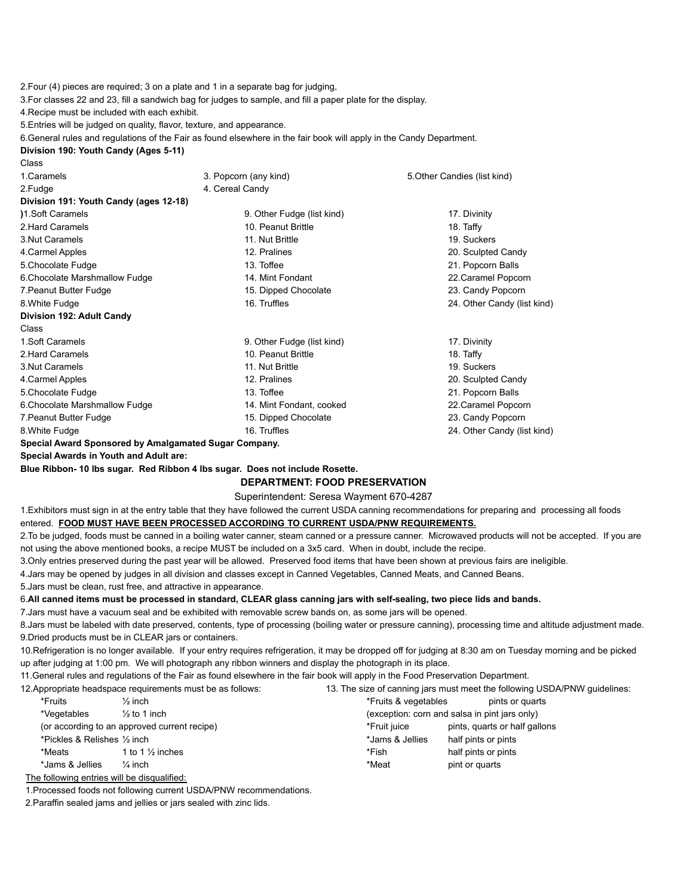2.Four (4) pieces are required; 3 on a plate and 1 in a separate bag for judging,

3.For classes 22 and 23, fill a sandwich bag for judges to sample, and fill a paper plate for the display.

4.Recipe must be included with each exhibit.

5.Entries will be judged on quality, flavor, texture, and appearance.

6.General rules and regulations of the Fair as found elsewhere in the fair book will apply in the Candy Department.

#### **Division 190: Youth Candy (Ages 5-11)**

| Class                                  |                            |                              |
|----------------------------------------|----------------------------|------------------------------|
| 1.Caramels                             | 3. Popcorn (any kind)      | 5. Other Candies (list kind) |
| 2.Fudge                                | 4. Cereal Candy            |                              |
| Division 191: Youth Candy (ages 12-18) |                            |                              |
| 1.Soft Caramels                        | 9. Other Fudge (list kind) | 17. Divinity                 |
| 2. Hard Caramels                       | 10. Peanut Brittle         | 18. Taffy                    |
| 3. Nut Caramels                        | 11. Nut Brittle            | 19. Suckers                  |
| 4. Carmel Apples                       | 12. Pralines               | 20. Sculpted Candy           |
| 5. Chocolate Fudge                     | 13. Toffee                 | 21. Popcorn Balls            |
| 6. Chocolate Marshmallow Fudge         | 14. Mint Fondant           | 22. Caramel Popcorn          |
| 7. Peanut Butter Fudge                 | 15. Dipped Chocolate       | 23. Candy Popcorn            |
| 8. White Fudge                         | 16. Truffles               | 24. Other Candy (list kind)  |
| Division 192: Adult Candy              |                            |                              |
| Class                                  |                            |                              |
| 1.Soft Caramels                        | 9. Other Fudge (list kind) | 17. Divinity                 |
| 2. Hard Caramels                       | 10. Peanut Brittle         | 18. Taffy                    |
| 3. Nut Caramels                        | 11. Nut Brittle            | 19. Suckers                  |
| 4. Carmel Apples                       | 12. Pralines               | 20. Sculpted Candy           |
| 5. Chocolate Fudge                     | 13. Toffee                 | 21. Popcorn Balls            |
| 6. Chocolate Marshmallow Fudge         | 14. Mint Fondant, cooked   | 22. Caramel Popcorn          |
| 7. Peanut Butter Fudge                 | 15. Dipped Chocolate       | 23. Candy Popcorn            |
| 8. White Fudge                         | 16. Truffles               | 24. Other Candy (list kind)  |
|                                        |                            |                              |

**Special Award Sponsored by Amalgamated Sugar Company.**

**Special Awards in Youth and Adult are:**

**Blue Ribbon- 10 lbs sugar. Red Ribbon 4 lbs sugar. Does not include Rosette.**

#### **DEPARTMENT: FOOD PRESERVATION**

#### Superintendent: Seresa Wayment 670-4287

1.Exhibitors must sign in at the entry table that they have followed the current USDA canning recommendations for preparing and processing all foods entered. **FOOD MUST HAVE BEEN PROCESSED ACCORDING TO CURRENT USDA/PNW REQUIREMENTS.**

2. To be judged, foods must be canned in a boiling water canner, steam canned or a pressure canner. Microwaved products will not be accepted. If you are not using the above mentioned books, a recipe MUST be included on a 3x5 card. When in doubt, include the recipe.

3.Only entries preserved during the past year will be allowed. Preserved food items that have been shown at previous fairs are ineligible.

4.Jars may be opened by judges in all division and classes except in Canned Vegetables, Canned Meats, and Canned Beans.

5.Jars must be clean, rust free, and attractive in appearance.

## 6.All canned items must be processed in standard, CLEAR glass canning jars with self-sealing, two piece lids and bands.

7.Jars must have a vacuum seal and be exhibited with removable screw bands on, as some jars will be opened.

8.Jars must be labeled with date preserved, contents, type of processing (boiling water or pressure canning), processing time and altitude adjustment made. 9.Dried products must be in CLEAR jars or containers.

10.Refrigeration is no longer available. If your entry requires refrigeration, it may be dropped off for judging at 8:30 am on Tuesday morning and be picked up after judging at 1:00 pm. We will photograph any ribbon winners and display the photograph in its place.

11.General rules and regulations of the Fair as found elsewhere in the fair book will apply in the Food Preservation Department.

12.Appropriate headspace requirements must be as follows: 13. The size of canning jars must meet the following USDA/PNW guidelines:

| *Fruits                                | $\frac{1}{2}$ inch                           | *Fruits & vegetables | pints or quarts                               |
|----------------------------------------|----------------------------------------------|----------------------|-----------------------------------------------|
| *Vegetables                            | $\frac{1}{2}$ to 1 inch                      |                      | (exception: corn and salsa in pint jars only) |
|                                        | (or according to an approved current recipe) | *Fruit iuice         | pints, quarts or half gallons                 |
| *Pickles & Relishes $\frac{1}{2}$ inch |                                              | *Jams & Jellies      | half pints or pints                           |
| *Meats                                 | 1 to 1 $\frac{1}{2}$ inches                  | *Fish                | half pints or pints                           |
| *Jams & Jellies                        | $\frac{1}{4}$ inch                           | *Meat                | pint or quarts                                |
|                                        |                                              |                      |                                               |

The following entries will be disqualified:

1.Processed foods not following current USDA/PNW recommendations.

2.Paraffin sealed jams and jellies or jars sealed with zinc lids.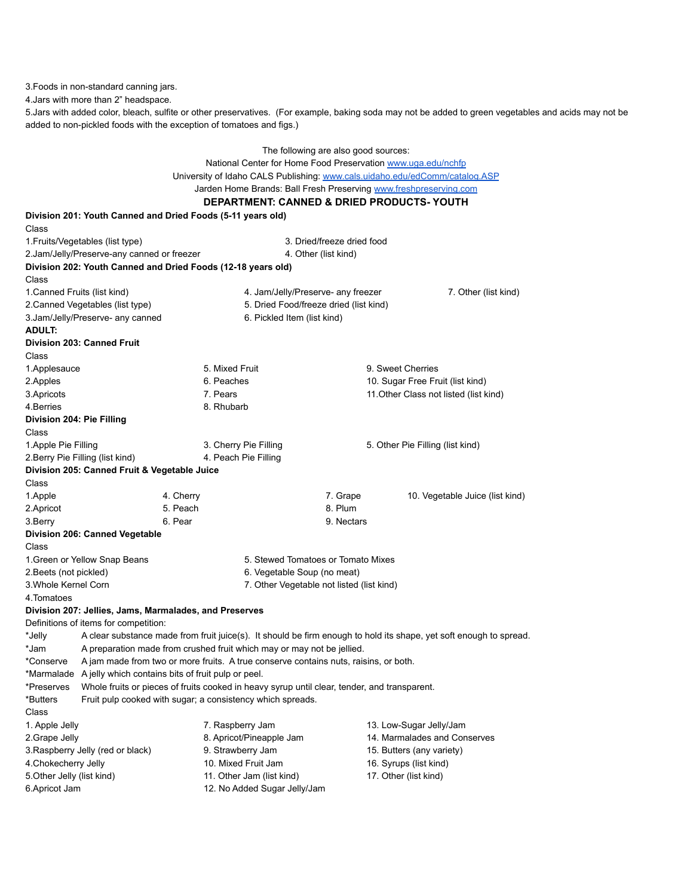3.Foods in non-standard canning jars.

4.Jars with more than 2" headspace.

5.Jars with added color, bleach, sulfite or other preservatives. (For example, baking soda may not be added to green vegetables and acids may not be added to non-pickled foods with the exception of tomatoes and figs.)

|                                                                   | The following are also good sources:                                        |                                                                                              |                                           |                                                                                                                    |  |
|-------------------------------------------------------------------|-----------------------------------------------------------------------------|----------------------------------------------------------------------------------------------|-------------------------------------------|--------------------------------------------------------------------------------------------------------------------|--|
|                                                                   | National Center for Home Food Preservation www.uga.edu/nchfp                |                                                                                              |                                           |                                                                                                                    |  |
|                                                                   | University of Idaho CALS Publishing: www.cals.uidaho.edu/edComm/catalog.ASP |                                                                                              |                                           |                                                                                                                    |  |
| Jarden Home Brands: Ball Fresh Preserving www.freshpreserving.com |                                                                             |                                                                                              |                                           |                                                                                                                    |  |
|                                                                   | <b>DEPARTMENT: CANNED &amp; DRIED PRODUCTS-YOUTH</b>                        |                                                                                              |                                           |                                                                                                                    |  |
|                                                                   | Division 201: Youth Canned and Dried Foods (5-11 years old)                 |                                                                                              |                                           |                                                                                                                    |  |
| Class                                                             |                                                                             |                                                                                              |                                           |                                                                                                                    |  |
|                                                                   | 1. Fruits/Vegetables (list type)                                            |                                                                                              | 3. Dried/freeze dried food                |                                                                                                                    |  |
|                                                                   | 2.Jam/Jelly/Preserve-any canned or freezer                                  |                                                                                              | 4. Other (list kind)                      |                                                                                                                    |  |
|                                                                   | Division 202: Youth Canned and Dried Foods (12-18 years old)                |                                                                                              |                                           |                                                                                                                    |  |
| Class                                                             |                                                                             |                                                                                              |                                           |                                                                                                                    |  |
| 1. Canned Fruits (list kind)                                      |                                                                             |                                                                                              | 4. Jam/Jelly/Preserve- any freezer        | 7. Other (list kind)                                                                                               |  |
|                                                                   | 2. Canned Vegetables (list type)                                            |                                                                                              | 5. Dried Food/freeze dried (list kind)    |                                                                                                                    |  |
|                                                                   | 3.Jam/Jelly/Preserve- any canned                                            | 6. Pickled Item (list kind)                                                                  |                                           |                                                                                                                    |  |
| ADULT:                                                            |                                                                             |                                                                                              |                                           |                                                                                                                    |  |
|                                                                   | Division 203: Canned Fruit                                                  |                                                                                              |                                           |                                                                                                                    |  |
| Class                                                             |                                                                             |                                                                                              |                                           |                                                                                                                    |  |
| 1.Applesauce                                                      |                                                                             | 5. Mixed Fruit                                                                               | 9. Sweet Cherries                         |                                                                                                                    |  |
| 2.Apples                                                          |                                                                             | 6. Peaches                                                                                   |                                           | 10. Sugar Free Fruit (list kind)                                                                                   |  |
| 3. Apricots                                                       |                                                                             | 7. Pears                                                                                     |                                           | 11. Other Class not listed (list kind)                                                                             |  |
| 4.Berries                                                         |                                                                             | 8. Rhubarb                                                                                   |                                           |                                                                                                                    |  |
| Division 204: Pie Filling                                         |                                                                             |                                                                                              |                                           |                                                                                                                    |  |
| Class                                                             |                                                                             |                                                                                              |                                           |                                                                                                                    |  |
| 1. Apple Pie Filling                                              |                                                                             | 3. Cherry Pie Filling                                                                        |                                           | 5. Other Pie Filling (list kind)                                                                                   |  |
|                                                                   | 2. Berry Pie Filling (list kind)                                            | 4. Peach Pie Filling                                                                         |                                           |                                                                                                                    |  |
|                                                                   | Division 205: Canned Fruit & Vegetable Juice                                |                                                                                              |                                           |                                                                                                                    |  |
| Class                                                             |                                                                             |                                                                                              |                                           |                                                                                                                    |  |
| 1.Apple                                                           | 4. Cherry                                                                   |                                                                                              | 7. Grape                                  | 10. Vegetable Juice (list kind)                                                                                    |  |
| 2. Apricot                                                        | 5. Peach                                                                    |                                                                                              | 8. Plum                                   |                                                                                                                    |  |
| 3.Berry                                                           | 6. Pear                                                                     |                                                                                              | 9. Nectars                                |                                                                                                                    |  |
|                                                                   | Division 206: Canned Vegetable                                              |                                                                                              |                                           |                                                                                                                    |  |
| Class                                                             |                                                                             |                                                                                              |                                           |                                                                                                                    |  |
|                                                                   | 1. Green or Yellow Snap Beans                                               |                                                                                              | 5. Stewed Tomatoes or Tomato Mixes        |                                                                                                                    |  |
| 2. Beets (not pickled)                                            |                                                                             | 6. Vegetable Soup (no meat)                                                                  |                                           |                                                                                                                    |  |
| 3. Whole Kernel Corn                                              |                                                                             |                                                                                              | 7. Other Vegetable not listed (list kind) |                                                                                                                    |  |
| 4.Tomatoes                                                        |                                                                             |                                                                                              |                                           |                                                                                                                    |  |
|                                                                   | Division 207: Jellies, Jams, Marmalades, and Preserves                      |                                                                                              |                                           |                                                                                                                    |  |
|                                                                   | Definitions of items for competition:                                       |                                                                                              |                                           |                                                                                                                    |  |
| *Jelly                                                            |                                                                             |                                                                                              |                                           | A clear substance made from fruit juice(s). It should be firm enough to hold its shape, yet soft enough to spread. |  |
| *Jam                                                              |                                                                             | A preparation made from crushed fruit which may or may not be jellied.                       |                                           |                                                                                                                    |  |
| *Conserve                                                         |                                                                             | A jam made from two or more fruits. A true conserve contains nuts, raisins, or both.         |                                           |                                                                                                                    |  |
| *Marmalade                                                        | A jelly which contains bits of fruit pulp or peel.                          |                                                                                              |                                           |                                                                                                                    |  |
| *Preserves                                                        |                                                                             | Whole fruits or pieces of fruits cooked in heavy syrup until clear, tender, and transparent. |                                           |                                                                                                                    |  |
| *Butters                                                          |                                                                             | Fruit pulp cooked with sugar; a consistency which spreads.                                   |                                           |                                                                                                                    |  |
| Class                                                             |                                                                             |                                                                                              |                                           |                                                                                                                    |  |
| 1. Apple Jelly                                                    |                                                                             | 7. Raspberry Jam                                                                             |                                           | 13. Low-Sugar Jelly/Jam                                                                                            |  |
| 2.Grape Jelly                                                     |                                                                             | 8. Apricot/Pineapple Jam                                                                     |                                           | 14. Marmalades and Conserves                                                                                       |  |
|                                                                   | 3. Raspberry Jelly (red or black)                                           | 9. Strawberry Jam                                                                            |                                           | 15. Butters (any variety)                                                                                          |  |
| 4. Chokecherry Jelly                                              |                                                                             | 10. Mixed Fruit Jam                                                                          | 16. Syrups (list kind)                    |                                                                                                                    |  |
| 5.Other Jelly (list kind)                                         |                                                                             | 11. Other Jam (list kind)                                                                    | 17. Other (list kind)                     |                                                                                                                    |  |
| 6.Apricot Jam                                                     |                                                                             | 12. No Added Sugar Jelly/Jam                                                                 |                                           |                                                                                                                    |  |
|                                                                   |                                                                             |                                                                                              |                                           |                                                                                                                    |  |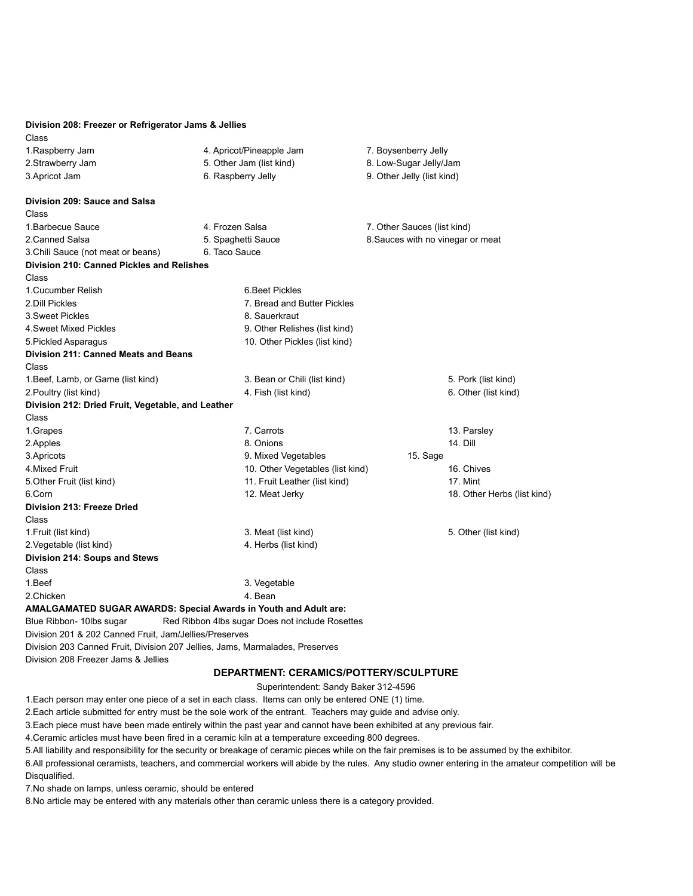| Division 208: Freezer or Refrigerator Jams & Jellies   |                                                                              |                                   |
|--------------------------------------------------------|------------------------------------------------------------------------------|-----------------------------------|
| Class                                                  |                                                                              |                                   |
| 1. Raspberry Jam                                       | 4. Apricot/Pineapple Jam                                                     | 7. Boysenberry Jelly              |
| 2.Strawberry Jam                                       | 5. Other Jam (list kind)                                                     | 8. Low-Sugar Jelly/Jam            |
| 3. Apricot Jam                                         | 6. Raspberry Jelly                                                           | 9. Other Jelly (list kind)        |
| Division 209: Sauce and Salsa                          |                                                                              |                                   |
| Class                                                  |                                                                              |                                   |
| 1. Barbecue Sauce                                      | 4. Frozen Salsa                                                              | 7. Other Sauces (list kind)       |
| 2. Canned Salsa                                        | 5. Spaghetti Sauce                                                           | 8. Sauces with no vinegar or meat |
| 3. Chili Sauce (not meat or beans)                     | 6. Taco Sauce                                                                |                                   |
| Division 210: Canned Pickles and Relishes              |                                                                              |                                   |
| Class                                                  |                                                                              |                                   |
| 1. Cucumber Relish                                     | 6. Beet Pickles                                                              |                                   |
| 2. Dill Pickles                                        | 7. Bread and Butter Pickles                                                  |                                   |
| 3. Sweet Pickles                                       | 8. Sauerkraut                                                                |                                   |
| 4. Sweet Mixed Pickles                                 | 9. Other Relishes (list kind)                                                |                                   |
| 5. Pickled Asparagus                                   | 10. Other Pickles (list kind)                                                |                                   |
| Division 211: Canned Meats and Beans                   |                                                                              |                                   |
| Class                                                  |                                                                              |                                   |
| 1. Beef, Lamb, or Game (list kind)                     | 3. Bean or Chili (list kind)                                                 | 5. Pork (list kind)               |
| 2. Poultry (list kind)                                 | 4. Fish (list kind)                                                          | 6. Other (list kind)              |
| Division 212: Dried Fruit, Vegetable, and Leather      |                                                                              |                                   |
| Class                                                  |                                                                              |                                   |
| 1.Grapes                                               | 7. Carrots                                                                   | 13. Parsley                       |
| 2.Apples                                               | 8. Onions                                                                    | 14. Dill                          |
| 3. Apricots                                            | 9. Mixed Vegetables                                                          | 15. Sage                          |
| 4.Mixed Fruit                                          | 10. Other Vegetables (list kind)                                             | 16. Chives                        |
| 5. Other Fruit (list kind)                             | 11. Fruit Leather (list kind)                                                | 17. Mint                          |
| 6.Corn                                                 | 12. Meat Jerky                                                               | 18. Other Herbs (list kind)       |
| Division 213: Freeze Dried                             |                                                                              |                                   |
| Class                                                  |                                                                              |                                   |
| 1. Fruit (list kind)                                   | 3. Meat (list kind)                                                          | 5. Other (list kind)              |
| 2. Vegetable (list kind)                               | 4. Herbs (list kind)                                                         |                                   |
| Division 214: Soups and Stews                          |                                                                              |                                   |
| Class                                                  |                                                                              |                                   |
| 1.Beef                                                 | 3. Vegetable                                                                 |                                   |
| 2.Chicken                                              | 4. Bean                                                                      |                                   |
|                                                        | AMALGAMATED SUGAR AWARDS: Special Awards in Youth and Adult are:             |                                   |
| Blue Ribbon- 10lbs sugar                               | Red Ribbon 4lbs sugar Does not include Rosettes                              |                                   |
| Division 201 & 202 Canned Fruit, Jam/Jellies/Preserves |                                                                              |                                   |
|                                                        | Division 203 Canned Fruit, Division 207 Jellies, Jams, Marmalades, Preserves |                                   |

Division 208 Freezer Jams & Jellies

### **DEPARTMENT: CERAMICS/POTTERY/SCULPTURE**

Superintendent: Sandy Baker 312-4596

1.Each person may enter one piece of a set in each class. Items can only be entered ONE (1) time.

2.Each article submitted for entry must be the sole work of the entrant. Teachers may guide and advise only.

3.Each piece must have been made entirely within the past year and cannot have been exhibited at any previous fair.

4.Ceramic articles must have been fired in a ceramic kiln at a temperature exceeding 800 degrees.

5.All liability and responsibility for the security or breakage of ceramic pieces while on the fair premises is to be assumed by the exhibitor.

6.All professional ceramists, teachers, and commercial workers will abide by the rules. Any studio owner entering in the amateur competition will be Disqualified.

7.No shade on lamps, unless ceramic, should be entered

8.No article may be entered with any materials other than ceramic unless there is a category provided.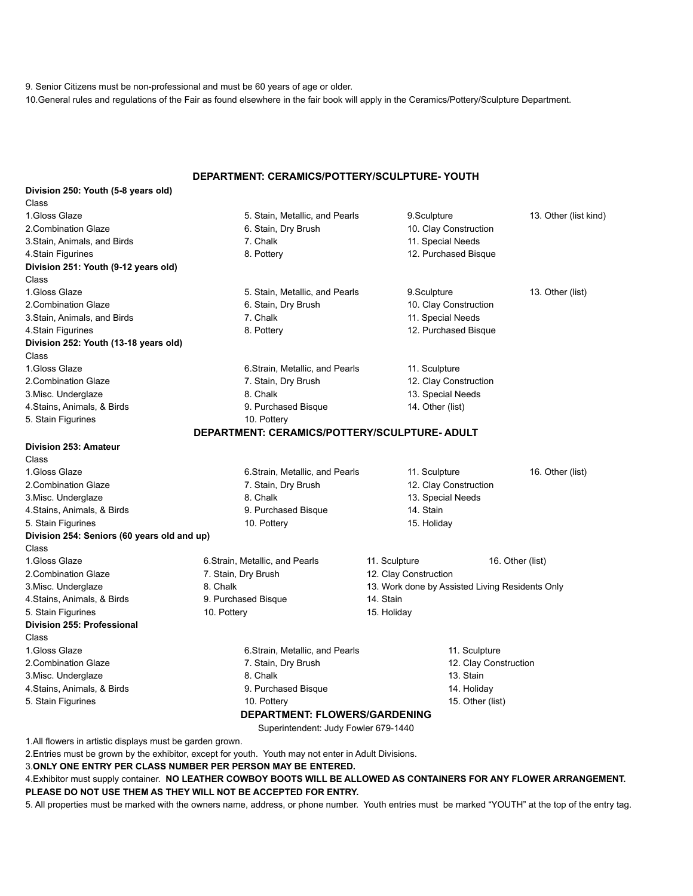9. Senior Citizens must be non-professional and must be 60 years of age or older.

10.General rules and regulations of the Fair as found elsewhere in the fair book will apply in the Ceramics/Pottery/Sculpture Department.

### **DEPARTMENT: CERAMICS/POTTERY/SCULPTURE- YOUTH**

| Division 250: Youth (5-8 years old)         |                                              |                                                 |                       |
|---------------------------------------------|----------------------------------------------|-------------------------------------------------|-----------------------|
| Class                                       |                                              |                                                 |                       |
| 1. Gloss Glaze                              | 5. Stain, Metallic, and Pearls               | 9.Sculpture                                     | 13. Other (list kind) |
| 2. Combination Glaze                        | 6. Stain, Dry Brush                          | 10. Clay Construction                           |                       |
| 3. Stain, Animals, and Birds                | 7. Chalk                                     | 11. Special Needs                               |                       |
| 4. Stain Figurines                          | 8. Pottery                                   | 12. Purchased Bisque                            |                       |
| Division 251: Youth (9-12 years old)        |                                              |                                                 |                       |
| Class                                       |                                              |                                                 |                       |
| 1. Gloss Glaze                              | 5. Stain, Metallic, and Pearls               | 9.Sculpture                                     | 13. Other (list)      |
| 2. Combination Glaze                        | 6. Stain, Dry Brush                          | 10. Clay Construction                           |                       |
| 3. Stain, Animals, and Birds                | 7. Chalk                                     | 11. Special Needs                               |                       |
| 4. Stain Figurines                          | 8. Pottery                                   | 12. Purchased Bisque                            |                       |
| Division 252: Youth (13-18 years old)       |                                              |                                                 |                       |
| Class                                       |                                              |                                                 |                       |
| 1. Gloss Glaze                              | 6. Strain, Metallic, and Pearls              | 11. Sculpture                                   |                       |
| 2. Combination Glaze                        | 7. Stain, Dry Brush                          | 12. Clay Construction                           |                       |
| 3. Misc. Underglaze                         | 8. Chalk                                     | 13. Special Needs                               |                       |
| 4. Stains, Animals, & Birds                 | 9. Purchased Bisque                          | 14. Other (list)                                |                       |
| 5. Stain Figurines                          | 10. Pottery                                  |                                                 |                       |
|                                             | DEPARTMENT: CERAMICS/POTTERY/SCULPTURE-ADULT |                                                 |                       |
| Division 253: Amateur                       |                                              |                                                 |                       |
| Class                                       |                                              |                                                 |                       |
| 1.Gloss Glaze                               | 6. Strain, Metallic, and Pearls              | 11. Sculpture                                   | 16. Other (list)      |
| 2. Combination Glaze                        | 7. Stain, Dry Brush                          | 12. Clay Construction                           |                       |
| 3. Misc. Underglaze                         | 8. Chalk                                     | 13. Special Needs                               |                       |
| 4. Stains, Animals, & Birds                 | 9. Purchased Bisque                          | 14. Stain                                       |                       |
| 5. Stain Figurines                          | 10. Pottery                                  | 15. Holiday                                     |                       |
| Division 254: Seniors (60 years old and up) |                                              |                                                 |                       |
| Class                                       |                                              |                                                 |                       |
| 1. Gloss Glaze                              | 6. Strain, Metallic, and Pearls              | 11. Sculpture                                   | 16. Other (list)      |
| 2. Combination Glaze                        | 7. Stain, Dry Brush                          | 12. Clay Construction                           |                       |
| 3. Misc. Underglaze                         | 8. Chalk                                     | 13. Work done by Assisted Living Residents Only |                       |
| 4. Stains, Animals, & Birds                 | 9. Purchased Bisque                          | 14. Stain                                       |                       |
| 5. Stain Figurines                          | 10. Pottery                                  | 15. Holiday                                     |                       |
| Division 255: Professional                  |                                              |                                                 |                       |
| Class                                       |                                              |                                                 |                       |
| 1. Gloss Glaze                              | 6. Strain, Metallic, and Pearls              | 11. Sculpture                                   |                       |
| 2. Combination Glaze                        | 7. Stain, Dry Brush                          |                                                 | 12. Clay Construction |
| 3. Misc. Underglaze                         | 8. Chalk                                     | 13. Stain                                       |                       |
| 4. Stains, Animals, & Birds                 | 9. Purchased Bisque                          | 14. Holiday                                     |                       |
| 5. Stain Figurines                          | 10. Pottery                                  | 15. Other (list)                                |                       |
|                                             | <b>DEPARTMENT: FLOWERS/GARDENING</b>         |                                                 |                       |
|                                             |                                              |                                                 |                       |

Superintendent: Judy Fowler 679-1440

1.All flowers in artistic displays must be garden grown.

2.Entries must be grown by the exhibitor, except for youth. Youth may not enter in Adult Divisions.

3.**ONLY ONE ENTRY PER CLASS NUMBER PER PERSON MAY BE ENTERED.**

4.Exhibitor must supply container. **NO LEATHER COWBOY BOOTS WILL BE ALLOWED AS CONTAINERS FOR ANY FLOWER ARRANGEMENT. PLEASE DO NOT USE THEM AS THEY WILL NOT BE ACCEPTED FOR ENTRY.**

5. All properties must be marked with the owners name, address, or phone number. Youth entries must be marked "YOUTH" at the top of the entry tag.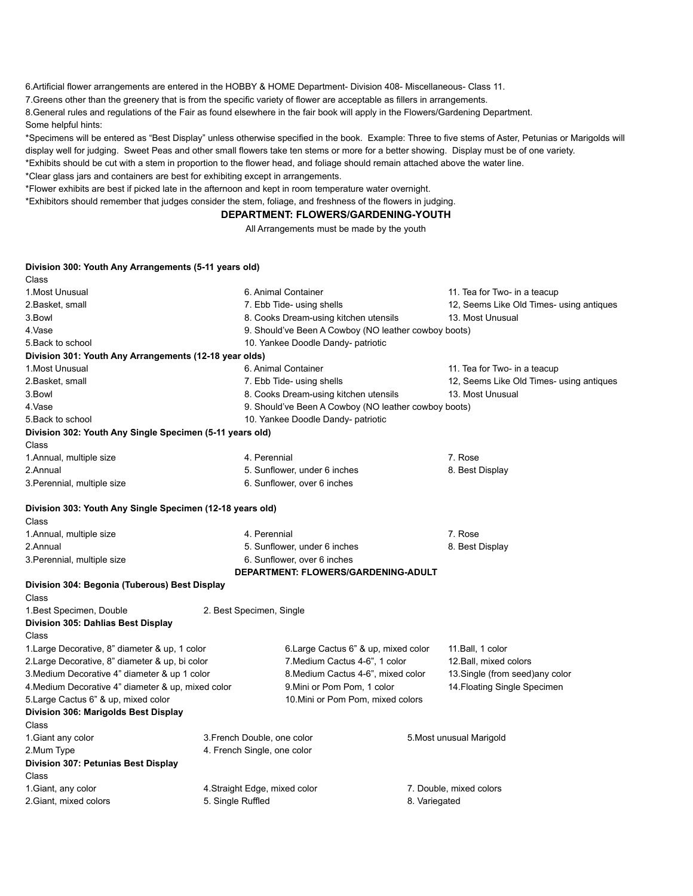6.Artificial flower arrangements are entered in the HOBBY & HOME Department- Division 408- Miscellaneous- Class 11.

7.Greens other than the greenery that is from the specific variety of flower are acceptable as fillers in arrangements.

8.General rules and regulations of the Fair as found elsewhere in the fair book will apply in the Flowers/Gardening Department. Some helpful hints:

\*Specimens will be entered as "Best Display" unless otherwise specified in the book. Example: Three to five stems of Aster, Petunias or Marigolds will display well for judging. Sweet Peas and other small flowers take ten stems or more for a better showing. Display must be of one variety. \*Exhibits should be cut with a stem in proportion to the flower head, and foliage should remain attached above the water line.

\*Clear glass jars and containers are best for exhibiting except in arrangements.

\*Flower exhibits are best if picked late in the afternoon and kept in room temperature water overnight.

\*Exhibitors should remember that judges consider the stem, foliage, and freshness of the flowers in judging.

#### **DEPARTMENT: FLOWERS/GARDENING-YOUTH**

All Arrangements must be made by the youth

#### **Division 300: Youth Any Arrangements (5-11 years old)**

| Class                                                     |                                       |                                                      |                                          |  |
|-----------------------------------------------------------|---------------------------------------|------------------------------------------------------|------------------------------------------|--|
| 1. Most Unusual                                           |                                       | 6. Animal Container                                  | 11. Tea for Two- in a teacup             |  |
| 2.Basket, small                                           |                                       | 7. Ebb Tide- using shells                            | 12, Seems Like Old Times- using antiques |  |
| 3.Bowl                                                    | 8. Cooks Dream-using kitchen utensils |                                                      | 13. Most Unusual                         |  |
| 4.Vase                                                    |                                       | 9. Should've Been A Cowboy (NO leather cowboy boots) |                                          |  |
| 5. Back to school                                         |                                       | 10. Yankee Doodle Dandy- patriotic                   |                                          |  |
| Division 301: Youth Any Arrangements (12-18 year olds)    |                                       |                                                      |                                          |  |
| 1. Most Unusual                                           |                                       | 6. Animal Container                                  | 11. Tea for Two- in a teacup             |  |
| 2.Basket, small                                           |                                       | 7. Ebb Tide- using shells                            | 12, Seems Like Old Times- using antiques |  |
| 3.Bowl                                                    |                                       | 8. Cooks Dream-using kitchen utensils                | 13. Most Unusual                         |  |
| 4.Vase                                                    |                                       | 9. Should've Been A Cowboy (NO leather cowboy boots) |                                          |  |
| 5. Back to school                                         |                                       | 10. Yankee Doodle Dandy- patriotic                   |                                          |  |
| Division 302: Youth Any Single Specimen (5-11 years old)  |                                       |                                                      |                                          |  |
| Class                                                     |                                       |                                                      |                                          |  |
| 1. Annual, multiple size                                  | 4. Perennial                          |                                                      | 7. Rose                                  |  |
| 2.Annual                                                  |                                       | 5. Sunflower, under 6 inches                         | 8. Best Display                          |  |
| 3. Perennial, multiple size                               |                                       | 6. Sunflower, over 6 inches                          |                                          |  |
| Division 303: Youth Any Single Specimen (12-18 years old) |                                       |                                                      |                                          |  |
| Class                                                     |                                       |                                                      |                                          |  |
| 1. Annual, multiple size                                  | 4. Perennial                          |                                                      | 7. Rose                                  |  |
| 2.Annual                                                  |                                       | 5. Sunflower, under 6 inches                         | 8. Best Display                          |  |
| 3. Perennial, multiple size                               | 6. Sunflower, over 6 inches           |                                                      |                                          |  |
|                                                           |                                       | DEPARTMENT: FLOWERS/GARDENING-ADULT                  |                                          |  |
| Division 304: Begonia (Tuberous) Best Display             |                                       |                                                      |                                          |  |
| Class                                                     |                                       |                                                      |                                          |  |
| 1. Best Specimen, Double                                  | 2. Best Specimen, Single              |                                                      |                                          |  |
| Division 305: Dahlias Best Display                        |                                       |                                                      |                                          |  |
| Class                                                     |                                       |                                                      |                                          |  |
| 1. Large Decorative, 8" diameter & up, 1 color            |                                       | 6. Large Cactus 6" & up, mixed color                 | 11. Ball, 1 color                        |  |
| 2. Large Decorative, 8" diameter & up, bi color           |                                       | 7. Medium Cactus 4-6", 1 color                       | 12. Ball, mixed colors                   |  |
| 3. Medium Decorative 4" diameter & up 1 color             |                                       | 8. Medium Cactus 4-6", mixed color                   | 13. Single (from seed) any color         |  |
| 4. Medium Decorative 4" diameter & up, mixed color        |                                       | 9. Mini or Pom Pom, 1 color                          | 14. Floating Single Specimen             |  |
| 5.Large Cactus 6" & up, mixed color                       |                                       | 10. Mini or Pom Pom, mixed colors                    |                                          |  |
| Division 306: Marigolds Best Display                      |                                       |                                                      |                                          |  |
| Class                                                     |                                       |                                                      |                                          |  |
| 1. Giant any color                                        | 3. French Double, one color           |                                                      | 5. Most unusual Marigold                 |  |
| 2.Mum Type                                                | 4. French Single, one color           |                                                      |                                          |  |
| Division 307: Petunias Best Display                       |                                       |                                                      |                                          |  |
| Class                                                     |                                       |                                                      |                                          |  |
| 1. Giant, any color                                       | 4. Straight Edge, mixed color         |                                                      | 7. Double, mixed colors                  |  |
| 2. Giant, mixed colors                                    | 5. Single Ruffled                     |                                                      | 8. Variegated                            |  |
|                                                           |                                       |                                                      |                                          |  |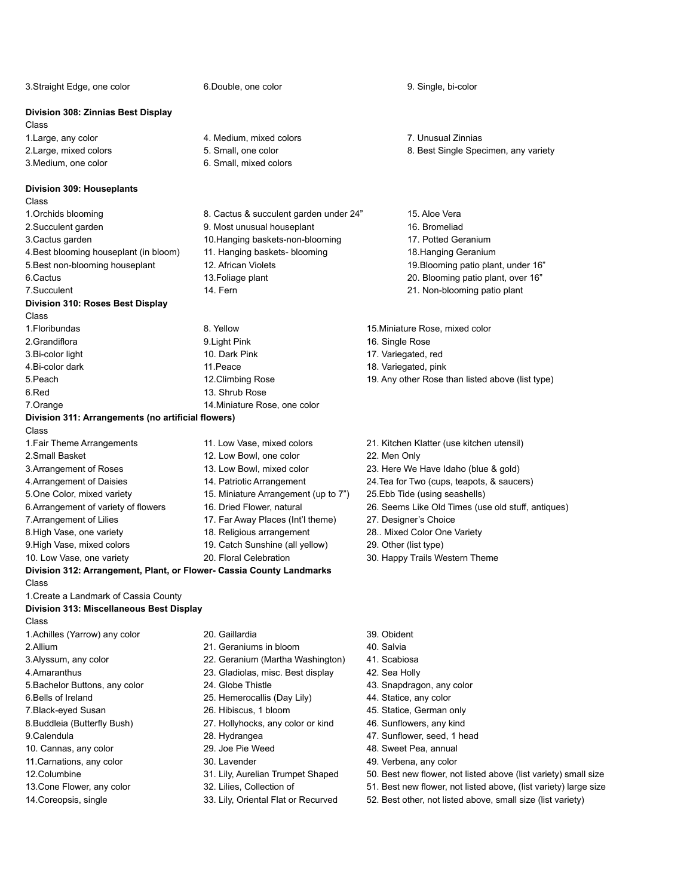3.Straight Edge, one color 6.Double, one color 9. Single, bi-color **Division 308: Zinnias Best Display** Class 1.Large, any color 4. Medium, mixed colors 7. Unusual Zinnias 2.Large, mixed colors 5. Small, one color 8. Best Single Specimen, any variety 3. Medium, one color 6. Small, mixed colors **Division 309: Houseplants** Class 1.Orchids blooming 8. Cactus & succulent garden under 24" 15. Aloe Vera 2.Succulent garden 9. Most unusual houseplant 16. Bromeliad 3.Cactus garden 10.Hanging baskets-non-blooming 17. Potted Geranium 4.Best blooming houseplant (in bloom) 11. Hanging baskets- blooming 18.Hanging Geranium 5.Best non-blooming houseplant 12. African Violets 19. Blooming patio plant, under 16" 6.Cactus 13.Foliage plant 20. Blooming patio plant, over 16" 7.Succulent 14. Fern 21. Non-blooming patio plant **Division 310: Roses Best Display** Class 1.Floribundas 8. Yellow 15.Miniature Rose, mixed color 2.Grandiflora 16. Single Rose 16. Single Rose 16. Single Rose 3.Bi-color light 10. Dark Pink 17. Variegated, red 4.Bi-color dark 11.Peace 11.Peace 18. Variegated, pink 5.Peach 12.Climbing Rose 19. Any other Rose than listed above (list type) 6.Red 13. Shrub Rose 7.Orange 14.Miniature Rose, one color **Division 311: Arrangements (no artificial flowers)** Class 1.Fair Theme Arrangements 11. Low Vase, mixed colors 21. Kitchen Klatter (use kitchen utensil) 2.Small Basket 12. Low Bowl, one color 22. Men Only 3.Arrangement of Roses 13. Low Bowl, mixed color 23. Here We Have Idaho (blue & gold) 4.Arrangement of Daisies 14. Patriotic Arrangement 24.Tea for Two (cups, teapots, & saucers) 5.One Color, mixed variety 15. Miniature Arrangement (up to 7") 25.Ebb Tide (using seashells) 6.Arrangement of variety of flowers 16. Dried Flower, natural 26. Seems Like Old Times (use old stuff, antiques) 7.Arrangement of Lilies 17. Far Away Places (Int'l theme) 27. Designer's Choice 8.High Vase, one variety 18. Religious arrangement 28.. Mixed Color One Variety 9.High Vase, mixed colors 19. Catch Sunshine (all yellow) 29. Other (list type) 10. Low Vase, one variety **20. Floral Celebration** 30. Happy Trails Western Theme **Division 312: Arrangement, Plant, or Flower- Cassia County Landmarks** Class 1.Create a Landmark of Cassia County **Division 313: Miscellaneous Best Display** Class 1.Achilles (Yarrow) any color 20. Gaillardia 39. Obident 2.Allium 21. Geraniums in bloom 40. Salvia 3.Alyssum, any color 22. Geranium (Martha Washington) 41. Scabiosa 4.Amaranthus 23. Gladiolas, misc. Best display 42. Sea Holly 5.Bachelor Buttons, any color 24. Globe Thistle 43. Snapdragon, any color 6.Bells of Ireland 25. Hemerocallis (Day Lily) 44. Statice, any color 7.Black-eyed Susan 26. Hibiscus, 1 bloom 45. Statice, German only 8.Buddleia (Butterfly Bush) 27. Hollyhocks, any color or kind 46. Sunflowers, any kind 9.Calendula 28. Hydrangea 47. Sunflower, seed, 1 head 10. Cannas, any color 29. Joe Pie Weed 48. Sweet Pea, annual 11.Carnations, any color 30. Lavender 49. Verbena, any color 12.Columbine 31. Lily, Aurelian Trumpet Shaped 50. Best new flower, not listed above (list variety) small size 13.Cone Flower, any color 32. Lilies, Collection of 51. Best new flower, not listed above, (list variety) large size 14.Coreopsis, single 33. Lily, Oriental Flat or Recurved 52. Best other, not listed above, small size (list variety)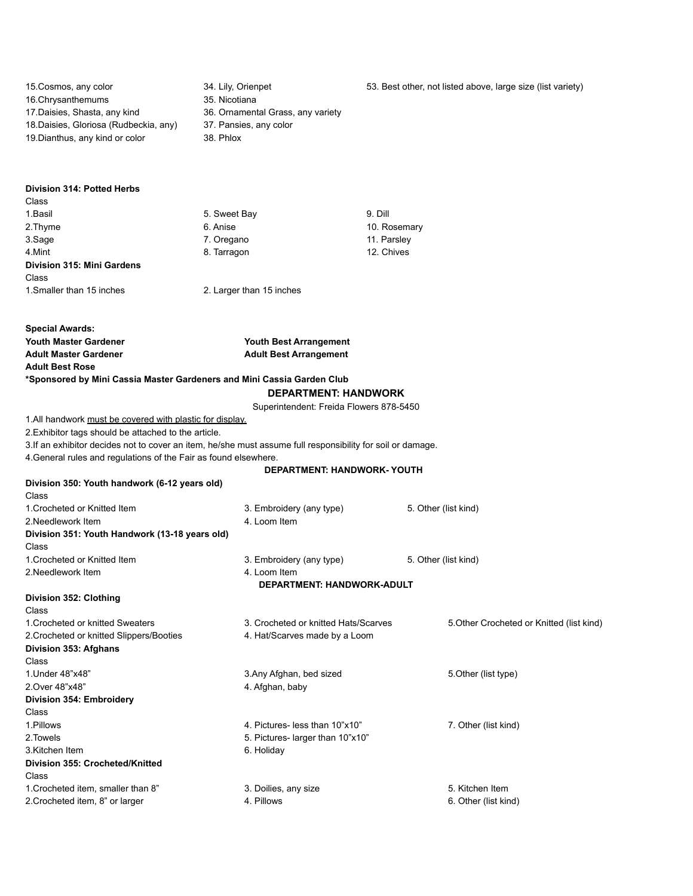| 15. Cosmos, any color<br>16. Chrysanthemums<br>17. Daisies, Shasta, any kind<br>18. Daisies, Gloriosa (Rudbeckia, any)<br>19. Dianthus, any kind or color | 34. Lily, Orienpet<br>35. Nicotiana<br>36. Ornamental Grass, any variety<br>37. Pansies, any color<br>38. Phlox | 53. Best other, not listed above, large size (list variety) |
|-----------------------------------------------------------------------------------------------------------------------------------------------------------|-----------------------------------------------------------------------------------------------------------------|-------------------------------------------------------------|
| Division 314: Potted Herbs                                                                                                                                |                                                                                                                 |                                                             |
| Class                                                                                                                                                     |                                                                                                                 |                                                             |
| 1. Basil                                                                                                                                                  | 5. Sweet Bay                                                                                                    | 9. Dill                                                     |
| 2.Thyme                                                                                                                                                   | 6. Anise                                                                                                        | 10. Rosemary                                                |
| 3.Sage                                                                                                                                                    | 7. Oregano                                                                                                      | 11. Parsley                                                 |
| 4.Mint                                                                                                                                                    | 8. Tarragon                                                                                                     | 12. Chives                                                  |
| Division 315: Mini Gardens                                                                                                                                |                                                                                                                 |                                                             |
| Class                                                                                                                                                     |                                                                                                                 |                                                             |
| 1. Smaller than 15 inches                                                                                                                                 | 2. Larger than 15 inches                                                                                        |                                                             |
|                                                                                                                                                           |                                                                                                                 |                                                             |
| <b>Special Awards:</b>                                                                                                                                    |                                                                                                                 |                                                             |
| <b>Youth Master Gardener</b>                                                                                                                              | Youth Best Arrangement                                                                                          |                                                             |
| <b>Adult Master Gardener</b>                                                                                                                              | <b>Adult Best Arrangement</b>                                                                                   |                                                             |
| <b>Adult Best Rose</b>                                                                                                                                    |                                                                                                                 |                                                             |
| *Sponsored by Mini Cassia Master Gardeners and Mini Cassia Garden Club                                                                                    | <b>DEPARTMENT: HANDWORK</b>                                                                                     |                                                             |
|                                                                                                                                                           |                                                                                                                 |                                                             |
| 1. All handwork must be covered with plastic for display.                                                                                                 | Superintendent: Freida Flowers 878-5450                                                                         |                                                             |
| 2. Exhibitor tags should be attached to the article.                                                                                                      |                                                                                                                 |                                                             |
| 3. If an exhibitor decides not to cover an item, he/she must assume full responsibility for soil or damage.                                               |                                                                                                                 |                                                             |
| 4. General rules and regulations of the Fair as found elsewhere.                                                                                          |                                                                                                                 |                                                             |
|                                                                                                                                                           | DEPARTMENT: HANDWORK- YOUTH                                                                                     |                                                             |
| Division 350: Youth handwork (6-12 years old)<br>Class                                                                                                    |                                                                                                                 |                                                             |
| 1. Crocheted or Knitted Item                                                                                                                              | 3. Embroidery (any type)                                                                                        | 5. Other (list kind)                                        |
| 2. Needlework Item                                                                                                                                        | 4. Loom Item                                                                                                    |                                                             |
| Division 351: Youth Handwork (13-18 years old)                                                                                                            |                                                                                                                 |                                                             |
| Class                                                                                                                                                     |                                                                                                                 |                                                             |
| 1. Crocheted or Knitted Item                                                                                                                              | 3. Embroidery (any type)                                                                                        | 5. Other (list kind)                                        |
| 2. Needlework Item                                                                                                                                        | 4. Loom Item                                                                                                    |                                                             |
|                                                                                                                                                           | DEPARTMENT: HANDWORK-ADULT                                                                                      |                                                             |
| Division 352: Clothing                                                                                                                                    |                                                                                                                 |                                                             |
| Class                                                                                                                                                     |                                                                                                                 |                                                             |
| 1. Crocheted or knitted Sweaters                                                                                                                          | 3. Crocheted or knitted Hats/Scarves                                                                            | 5. Other Crocheted or Knitted (list kind)                   |
| 2. Crocheted or knitted Slippers/Booties                                                                                                                  | 4. Hat/Scarves made by a Loom                                                                                   |                                                             |
| Division 353: Afghans                                                                                                                                     |                                                                                                                 |                                                             |
| Class                                                                                                                                                     |                                                                                                                 |                                                             |
| 1. Under 48"x48"                                                                                                                                          | 3. Any Afghan, bed sized                                                                                        | 5. Other (list type)                                        |
| 2. Over 48"x48"                                                                                                                                           | 4. Afghan, baby                                                                                                 |                                                             |
| Division 354: Embroidery                                                                                                                                  |                                                                                                                 |                                                             |
| Class                                                                                                                                                     |                                                                                                                 |                                                             |
| 1.Pillows                                                                                                                                                 | 4. Pictures- less than 10"x10"                                                                                  | 7. Other (list kind)                                        |
| 2. Towels                                                                                                                                                 | 5. Pictures- larger than 10"x10"                                                                                |                                                             |
| 3.Kitchen Item                                                                                                                                            | 6. Holiday                                                                                                      |                                                             |
| Division 355: Crocheted/Knitted                                                                                                                           |                                                                                                                 |                                                             |
| Class<br>1. Crocheted item, smaller than 8"                                                                                                               |                                                                                                                 | 5. Kitchen Item                                             |
| 2. Crocheted item, 8" or larger                                                                                                                           | 3. Doilies, any size<br>4. Pillows                                                                              | 6. Other (list kind)                                        |
|                                                                                                                                                           |                                                                                                                 |                                                             |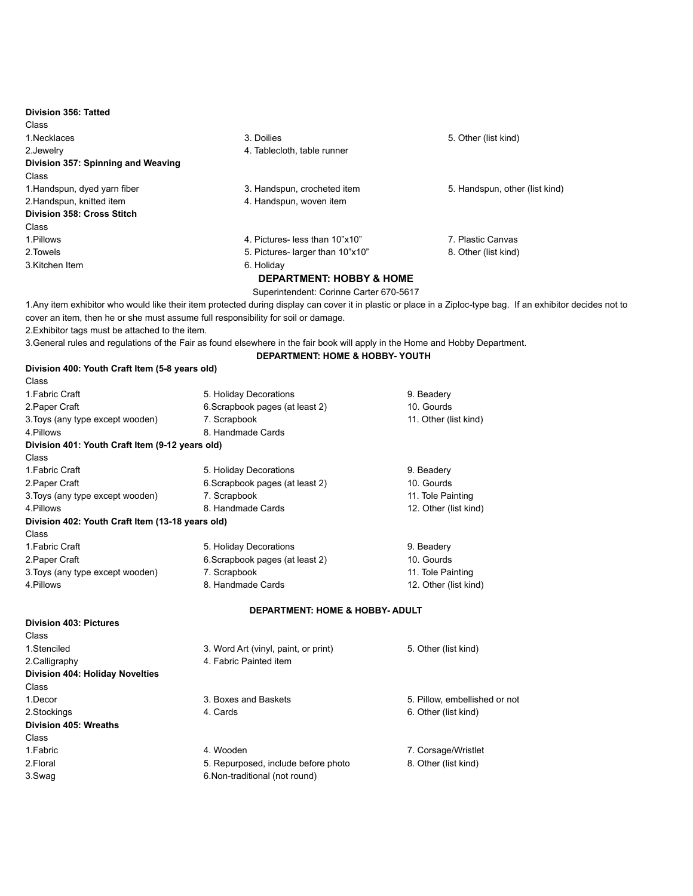| Division 356: Tatted               |                                     |                                |
|------------------------------------|-------------------------------------|--------------------------------|
| Class                              |                                     |                                |
| 1. Necklaces                       | 3. Doilies                          | 5. Other (list kind)           |
| 2.Jewelry                          | 4. Tablecloth, table runner         |                                |
| Division 357: Spinning and Weaving |                                     |                                |
| Class                              |                                     |                                |
| 1. Handspun, dyed yarn fiber       | 3. Handspun, crocheted item         | 5. Handspun, other (list kind) |
| 2. Handspun, knitted item          | 4. Handspun, woven item             |                                |
| Division 358: Cross Stitch         |                                     |                                |
| Class                              |                                     |                                |
| 1.Pillows                          | 4. Pictures- less than 10"x10"      | 7. Plastic Canvas              |
| 2. Towels                          | 5. Pictures- larger than 10"x10"    | 8. Other (list kind)           |
| 3. Kitchen Item                    | 6. Holiday                          |                                |
|                                    | <b>DEPARTMENT: HOBBY &amp; HOME</b> |                                |

Superintendent: Corinne Carter 670-5617

**DEPARTMENT: HOME & HOBBY- YOUTH**

1.Any item exhibitor who would like their item protected during display can cover it in plastic or place in a Ziploc-type bag. If an exhibitor decides not to cover an item, then he or she must assume full responsibility for soil or damage.

2.Exhibitor tags must be attached to the item.

3.General rules and regulations of the Fair as found elsewhere in the fair book will apply in the Home and Hobby Department.

| Division 400: Youth Craft Item (5-8 years old)   |                                 |                       |
|--------------------------------------------------|---------------------------------|-----------------------|
| Class                                            |                                 |                       |
| 1 Fabric Craft                                   | 5. Holiday Decorations          | 9. Beadery            |
| 2. Paper Craft                                   | 6. Scrapbook pages (at least 2) | 10. Gourds            |
| 3. Toys (any type except wooden)                 | 7. Scrapbook                    | 11. Other (list kind) |
| 4 Pillows                                        | 8 Handmade Cards                |                       |
| Division 401: Youth Craft Item (9-12 years old)  |                                 |                       |
| Class                                            |                                 |                       |
| 1. Fabric Craft                                  | 5. Holiday Decorations          | 9. Beadery            |
| 2. Paper Craft                                   | 6. Scrapbook pages (at least 2) | 10. Gourds            |
| 3. Toys (any type except wooden)                 | 7. Scrapbook                    | 11. Tole Painting     |
| 4 Pillows                                        | 8 Handmade Cards                | 12. Other (list kind) |
| Division 402: Youth Craft Item (13-18 years old) |                                 |                       |
| Class                                            |                                 |                       |
| 1 Fabric Craft                                   | 5. Holiday Decorations          | 9. Beadery            |
| 2. Paper Craft                                   | 6. Scrapbook pages (at least 2) | 10. Gourds            |
| 3. Toys (any type except wooden)                 | 7. Scrapbook                    | 11. Tole Painting     |
| 4. Pillows                                       | 8. Handmade Cards               | 12. Other (list kind) |
|                                                  |                                 |                       |

#### **DEPARTMENT: HOME & HOBBY- ADULT**

| <b>Division 403: Pictures</b>   |                                      |                               |
|---------------------------------|--------------------------------------|-------------------------------|
| Class                           |                                      |                               |
| 1.Stenciled                     | 3. Word Art (vinyl, paint, or print) | 5. Other (list kind)          |
| 2. Calligraphy                  | 4. Fabric Painted item               |                               |
| Division 404: Holiday Novelties |                                      |                               |
| Class                           |                                      |                               |
| 1.Decor                         | 3. Boxes and Baskets                 | 5. Pillow, embellished or not |
| 2.Stockings                     | 4. Cards                             | 6. Other (list kind)          |
| Division 405: Wreaths           |                                      |                               |
| Class                           |                                      |                               |
| 1. Fabric                       | 4. Wooden                            | 7. Corsage/Wristlet           |
| 2. Floral                       | 5. Repurposed, include before photo  | 8. Other (list kind)          |
| 3.Swag                          | 6. Non-traditional (not round)       |                               |
|                                 |                                      |                               |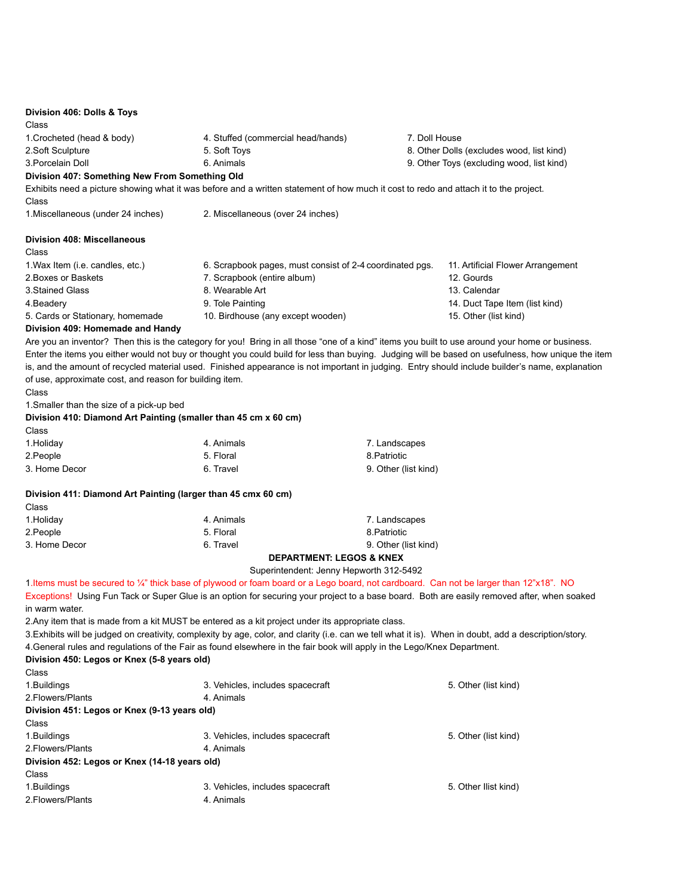| Division 406: Dolls & Toys<br>Class                                    |                                                                                                                                                                                                                                                                                                       |                      |                                           |
|------------------------------------------------------------------------|-------------------------------------------------------------------------------------------------------------------------------------------------------------------------------------------------------------------------------------------------------------------------------------------------------|----------------------|-------------------------------------------|
| 1. Crocheted (head & body)                                             | 4. Stuffed (commercial head/hands)                                                                                                                                                                                                                                                                    | 7. Doll House        |                                           |
| 2.Soft Sculpture                                                       | 5. Soft Toys                                                                                                                                                                                                                                                                                          |                      | 8. Other Dolls (excludes wood, list kind) |
| 3. Porcelain Doll                                                      | 6. Animals                                                                                                                                                                                                                                                                                            |                      | 9. Other Toys (excluding wood, list kind) |
| Division 407: Something New From Something Old                         |                                                                                                                                                                                                                                                                                                       |                      |                                           |
| Class                                                                  | Exhibits need a picture showing what it was before and a written statement of how much it cost to redo and attach it to the project.                                                                                                                                                                  |                      |                                           |
| 1. Miscellaneous (under 24 inches)                                     | 2. Miscellaneous (over 24 inches)                                                                                                                                                                                                                                                                     |                      |                                           |
| <b>Division 408: Miscellaneous</b>                                     |                                                                                                                                                                                                                                                                                                       |                      |                                           |
| Class                                                                  |                                                                                                                                                                                                                                                                                                       |                      |                                           |
| 1. Wax Item (i.e. candles, etc.)                                       | 6. Scrapbook pages, must consist of 2-4 coordinated pgs.                                                                                                                                                                                                                                              |                      | 11. Artificial Flower Arrangement         |
| 2. Boxes or Baskets                                                    | 7. Scrapbook (entire album)                                                                                                                                                                                                                                                                           |                      | 12. Gourds                                |
| 3. Stained Glass                                                       | 8. Wearable Art                                                                                                                                                                                                                                                                                       |                      | 13. Calendar                              |
| 4. Beadery                                                             | 9. Tole Painting                                                                                                                                                                                                                                                                                      |                      | 14. Duct Tape Item (list kind)            |
| 5. Cards or Stationary, homemade                                       | 10. Birdhouse (any except wooden)                                                                                                                                                                                                                                                                     |                      | 15. Other (list kind)                     |
| Division 409: Homemade and Handy                                       |                                                                                                                                                                                                                                                                                                       |                      |                                           |
|                                                                        | Are you an inventor? Then this is the category for you! Bring in all those "one of a kind" items you built to use around your home or business.<br>Enter the items you either would not buy or thought you could build for less than buying. Judging will be based on usefulness, how unique the item |                      |                                           |
|                                                                        | is, and the amount of recycled material used. Finished appearance is not important in judging. Entry should include builder's name, explanation                                                                                                                                                       |                      |                                           |
| of use, approximate cost, and reason for building item.                |                                                                                                                                                                                                                                                                                                       |                      |                                           |
| Class                                                                  |                                                                                                                                                                                                                                                                                                       |                      |                                           |
| 1. Smaller than the size of a pick-up bed                              |                                                                                                                                                                                                                                                                                                       |                      |                                           |
| Division 410: Diamond Art Painting (smaller than 45 cm x 60 cm)        |                                                                                                                                                                                                                                                                                                       |                      |                                           |
| Class                                                                  |                                                                                                                                                                                                                                                                                                       |                      |                                           |
| 1. Holiday                                                             | 4. Animals                                                                                                                                                                                                                                                                                            | 7. Landscapes        |                                           |
| 2. People                                                              | 5. Floral                                                                                                                                                                                                                                                                                             | 8. Patriotic         |                                           |
| 3. Home Decor                                                          | 6. Travel                                                                                                                                                                                                                                                                                             | 9. Other (list kind) |                                           |
| Division 411: Diamond Art Painting (larger than 45 cmx 60 cm)<br>Class |                                                                                                                                                                                                                                                                                                       |                      |                                           |
| 1. Holiday                                                             | 4. Animals                                                                                                                                                                                                                                                                                            | 7. Landscapes        |                                           |
| 2. People                                                              | 5. Floral                                                                                                                                                                                                                                                                                             | 8. Patriotic         |                                           |
| 3. Home Decor                                                          | 6. Travel                                                                                                                                                                                                                                                                                             | 9. Other (list kind) |                                           |
|                                                                        | <b>DEPARTMENT: LEGOS &amp; KNEX</b>                                                                                                                                                                                                                                                                   |                      |                                           |
|                                                                        | Superintendent: Jenny Hepworth 312-5492                                                                                                                                                                                                                                                               |                      |                                           |
|                                                                        | 1. Items must be secured to ¼" thick base of plywood or foam board or a Lego board, not cardboard. Can not be larger than 12"x18". NO                                                                                                                                                                 |                      |                                           |
|                                                                        | Exceptions! Using Fun Tack or Super Glue is an option for securing your project to a base board. Both are easily removed after, when soaked                                                                                                                                                           |                      |                                           |
| in warm water.                                                         |                                                                                                                                                                                                                                                                                                       |                      |                                           |
|                                                                        | 2. Any item that is made from a kit MUST be entered as a kit project under its appropriate class.                                                                                                                                                                                                     |                      |                                           |
|                                                                        | 3. Exhibits will be judged on creativity, complexity by age, color, and clarity (i.e. can we tell what it is). When in doubt, add a description/story.                                                                                                                                                |                      |                                           |
|                                                                        | 4. General rules and regulations of the Fair as found elsewhere in the fair book will apply in the Lego/Knex Department.                                                                                                                                                                              |                      |                                           |
| Division 450: Legos or Knex (5-8 years old)                            |                                                                                                                                                                                                                                                                                                       |                      |                                           |
| Class                                                                  |                                                                                                                                                                                                                                                                                                       |                      |                                           |
| 1.Buildings                                                            | 3. Vehicles, includes spacecraft                                                                                                                                                                                                                                                                      |                      | 5. Other (list kind)                      |
| 2. Flowers/Plants                                                      | 4. Animals                                                                                                                                                                                                                                                                                            |                      |                                           |
| Division 451: Legos or Knex (9-13 years old)                           |                                                                                                                                                                                                                                                                                                       |                      |                                           |
| Class                                                                  |                                                                                                                                                                                                                                                                                                       |                      |                                           |
| 1. Buildings                                                           | 3. Vehicles, includes spacecraft                                                                                                                                                                                                                                                                      |                      | 5. Other (list kind)                      |
| 2. Flowers/Plants                                                      | 4. Animals                                                                                                                                                                                                                                                                                            |                      |                                           |
| Division 452: Legos or Knex (14-18 years old)                          |                                                                                                                                                                                                                                                                                                       |                      |                                           |
| Class                                                                  |                                                                                                                                                                                                                                                                                                       |                      |                                           |
| 1.Buildings                                                            | 3. Vehicles, includes spacecraft                                                                                                                                                                                                                                                                      |                      | 5. Other Ilist kind)                      |
| 2. Flowers/Plants                                                      | 4. Animals                                                                                                                                                                                                                                                                                            |                      |                                           |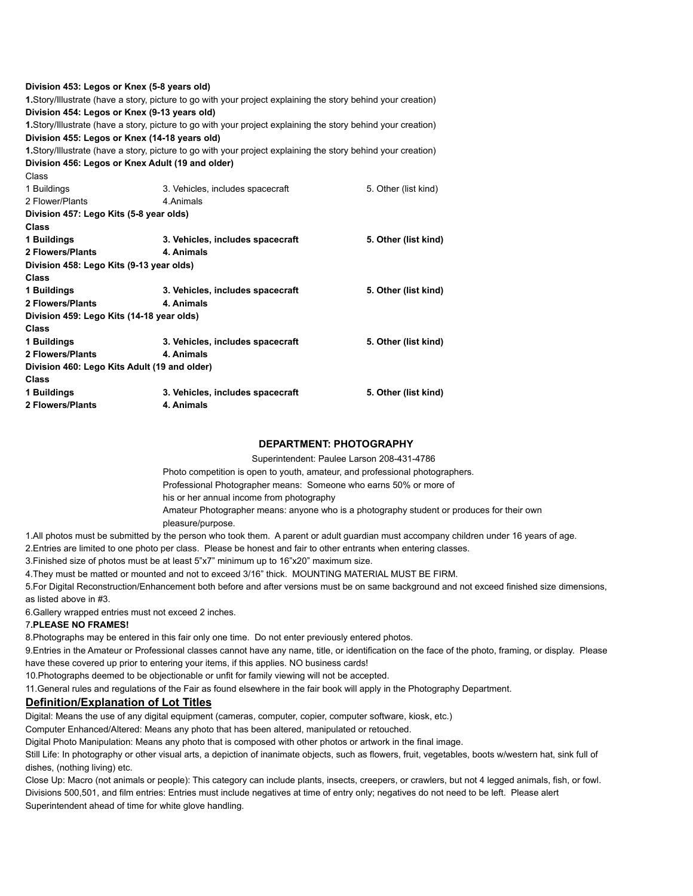| Division 453: Legos or Knex (5-8 years old)      |                                                                                                               |                      |
|--------------------------------------------------|---------------------------------------------------------------------------------------------------------------|----------------------|
|                                                  | 1. Story/Illustrate (have a story, picture to go with your project explaining the story behind your creation) |                      |
| Division 454: Legos or Knex (9-13 years old)     |                                                                                                               |                      |
|                                                  | 1. Story/Illustrate (have a story, picture to go with your project explaining the story behind your creation) |                      |
| Division 455: Legos or Knex (14-18 years old)    |                                                                                                               |                      |
|                                                  | 1. Story/Illustrate (have a story, picture to go with your project explaining the story behind your creation) |                      |
| Division 456: Legos or Knex Adult (19 and older) |                                                                                                               |                      |
| Class                                            |                                                                                                               |                      |
| 1 Buildings                                      | 3. Vehicles, includes spacecraft                                                                              | 5. Other (list kind) |
| 2 Flower/Plants                                  | 4. Animals                                                                                                    |                      |
| Division 457: Lego Kits (5-8 year olds)          |                                                                                                               |                      |
| Class                                            |                                                                                                               |                      |
| 1 Buildings                                      | 3. Vehicles, includes spacecraft                                                                              | 5. Other (list kind) |
| 2 Flowers/Plants                                 | 4. Animals                                                                                                    |                      |
| Division 458: Lego Kits (9-13 year olds)         |                                                                                                               |                      |
| <b>Class</b>                                     |                                                                                                               |                      |
| 1 Buildings                                      | 3. Vehicles, includes spacecraft                                                                              | 5. Other (list kind) |
| 2 Flowers/Plants                                 | 4. Animals                                                                                                    |                      |
| Division 459: Lego Kits (14-18 year olds)        |                                                                                                               |                      |
| <b>Class</b>                                     |                                                                                                               |                      |
| 1 Buildings                                      | 3. Vehicles, includes spacecraft                                                                              | 5. Other (list kind) |
| 2 Flowers/Plants                                 | 4. Animals                                                                                                    |                      |
| Division 460: Lego Kits Adult (19 and older)     |                                                                                                               |                      |
| <b>Class</b>                                     |                                                                                                               |                      |
| 1 Buildings                                      | 3. Vehicles, includes spacecraft                                                                              | 5. Other (list kind) |
| <b>2 Flowers/Plants</b>                          | 4. Animals                                                                                                    |                      |
|                                                  |                                                                                                               |                      |

## **DEPARTMENT: PHOTOGRAPHY**

Superintendent: Paulee Larson 208-431-4786

Photo competition is open to youth, amateur, and professional photographers. Professional Photographer means: Someone who earns 50% or more of his or her annual income from photography Amateur Photographer means: anyone who is a photography student or produces for their own pleasure/purpose.

1.All photos must be submitted by the person who took them. A parent or adult guardian must accompany children under 16 years of age.

2.Entries are limited to one photo per class. Please be honest and fair to other entrants when entering classes.

3.Finished size of photos must be at least 5"x7" minimum up to 16"x20" maximum size.

4.They must be matted or mounted and not to exceed 3/16" thick. MOUNTING MATERIAL MUST BE FIRM.

5.For Digital Reconstruction/Enhancement both before and after versions must be on same background and not exceed finished size dimensions, as listed above in #3.

6.Gallery wrapped entries must not exceed 2 inches.

#### 7**.PLEASE NO FRAMES!**

8.Photographs may be entered in this fair only one time. Do not enter previously entered photos.

9.Entries in the Amateur or Professional classes cannot have any name, title, or identification on the face of the photo, framing, or display. Please have these covered up prior to entering your items, if this applies. NO business cards!

10.Photographs deemed to be objectionable or unfit for family viewing will not be accepted.

11.General rules and regulations of the Fair as found elsewhere in the fair book will apply in the Photography Department.

## **Definition/Explanation of Lot Titles**

Digital: Means the use of any digital equipment (cameras, computer, copier, computer software, kiosk, etc.)

Computer Enhanced/Altered: Means any photo that has been altered, manipulated or retouched.

Digital Photo Manipulation: Means any photo that is composed with other photos or artwork in the final image.

Still Life: In photography or other visual arts, a depiction of inanimate objects, such as flowers, fruit, vegetables, boots w/western hat, sink full of dishes, (nothing living) etc.

Close Up: Macro (not animals or people): This category can include plants, insects, creepers, or crawlers, but not 4 legged animals, fish, or fowl. Divisions 500,501, and film entries: Entries must include negatives at time of entry only; negatives do not need to be left. Please alert Superintendent ahead of time for white glove handling.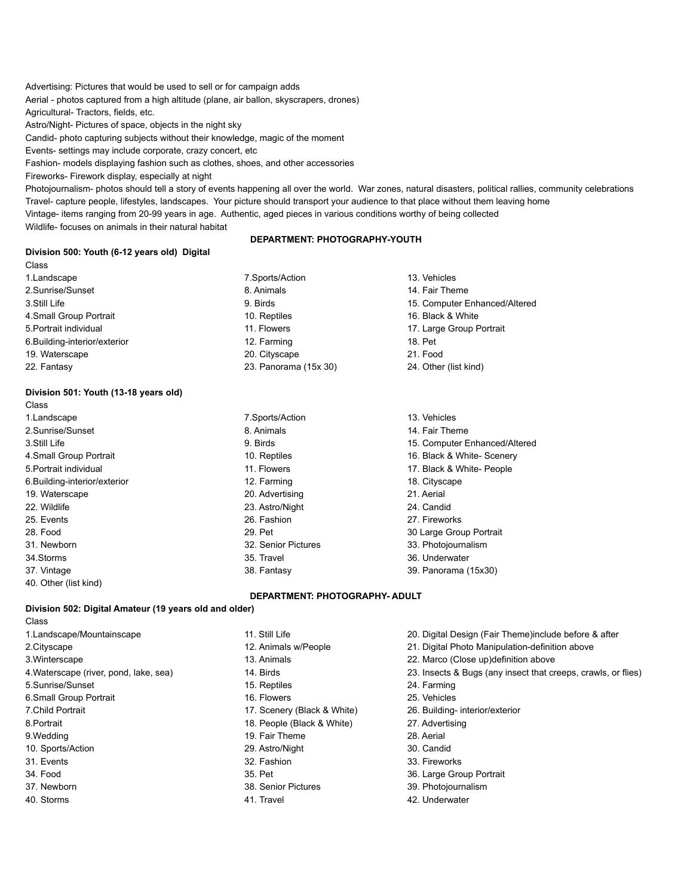Advertising: Pictures that would be used to sell or for campaign adds

Aerial - photos captured from a high altitude (plane, air ballon, skyscrapers, drones) Agricultural- Tractors, fields, etc.

Astro/Night- Pictures of space, objects in the night sky

Candid- photo capturing subjects without their knowledge, magic of the moment

Events- settings may include corporate, crazy concert, etc

Fashion- models displaying fashion such as clothes, shoes, and other accessories

Fireworks- Firework display, especially at night

Photojournalism- photos should tell a story of events happening all over the world. War zones, natural disasters, political rallies, community celebrations Travel- capture people, lifestyles, landscapes. Your picture should transport your audience to that place without them leaving home Vintage- items ranging from 20-99 years in age. Authentic, aged pieces in various conditions worthy of being collected Wildlife- focuses on animals in their natural habitat

#### **DEPARTMENT: PHOTOGRAPHY-YOUTH**

#### **Division 500: Youth (6-12 years old) Digital**

Class 1.Landscape 7.Sports/Action 13. Vehicles 2. Sunrise/Sunset 14. Fair Theme 12. Animals 14. Fair Theme 14. Fair Theme 3.Still Life 9. Birds 15. Computer Enhanced/Altered 4.Small Group Portrait 10. Reptiles 16. Black & White 5.Portrait individual 11. Flowers 17. Large Group Portrait 6.Building-interior/exterior 12. Farming 18. Pet 19. Waterscape 20. Cityscape 21. Food 22. Fantasy 23. Panorama (15x 30) 24. Other (list kind)

### **Division 501: Youth (13-18 years old)**

| Class                         |                                |                               |
|-------------------------------|--------------------------------|-------------------------------|
| 1.Landscape                   | 7. Sports/Action               | 13. Vehicles                  |
| 2.Sunrise/Sunset              | 8. Animals                     | 14. Fair Theme                |
| 3.Still Life                  | 9. Birds                       | 15. Computer Enhanced/Altered |
| 4.Small Group Portrait        | 10. Reptiles                   | 16. Black & White- Scenery    |
| 5. Portrait individual        | 11. Flowers                    | 17. Black & White- People     |
| 6. Building-interior/exterior | 12. Farming                    | 18. Cityscape                 |
| 19. Waterscape                | 20. Advertising                | 21. Aerial                    |
| 22. Wildlife                  | 23. Astro/Night                | 24. Candid                    |
| 25. Events                    | 26. Fashion                    | 27. Fireworks                 |
| 28. Food                      | 29. Pet                        | 30 Large Group Portrait       |
| 31. Newborn                   | 32. Senior Pictures            | 33. Photojournalism           |
| 34.Storms                     | 35. Travel                     | 36. Underwater                |
| 37. Vintage                   | 38. Fantasy                    | 39. Panorama (15x30)          |
| 40. Other (list kind)         |                                |                               |
|                               | DEPARTMENT: PHOTOGRAPHY- ADULT |                               |

#### **Division 502: Digital Amateur (19 years old and older)**

Class 3.Winterscape 13. Animals 22. Marco (Close up)definition above 5.Sunrise/Sunset 15. Reptiles 24. Farming 6.Small Group Portrait 16. Flowers 25. Vehicles 7.Child Portrait 17. Scenery (Black & White) 26. Building- interior/exterior 8. Portrait 18. People (Black & White) 27. Advertising 9. Wedding 28. Aerial 19. Fair Theme 28. Aerial 28. Aerial 10. Sports/Action 29. Astro/Night 30. Candid 31. Events 32. Fashion 33. Fireworks 34. Food 35. Pet 36. Large Group Portrait 37. Newborn 38. Senior Pictures 39. Photojournalism 40. Storms 1.1. Travel 1.1. Travel 1.1. Travel 1.1. Travel 1.1. Travel 1.1. Automobile 1.1. Travel 1.1. Travel

- 
- 
- 
- 
- 
- 
- 
- 
- 
- 
- 
- 
- 
- 
- 1.Landscape/Mountainscape 11. Still Life 20. Digital Design (Fair Theme)include before & after
- 2.Cityscape 12. Animals w/People 21. Digital Photo Manipulation-definition above
	-
- 4. Waterscape (river, pond, lake, sea) 14. Birds 24. Birds 23. Insects & Bugs (any insect that creeps, crawls, or flies)
	-
	-
	-
	-
	-
	-
	-
	-
	-
	-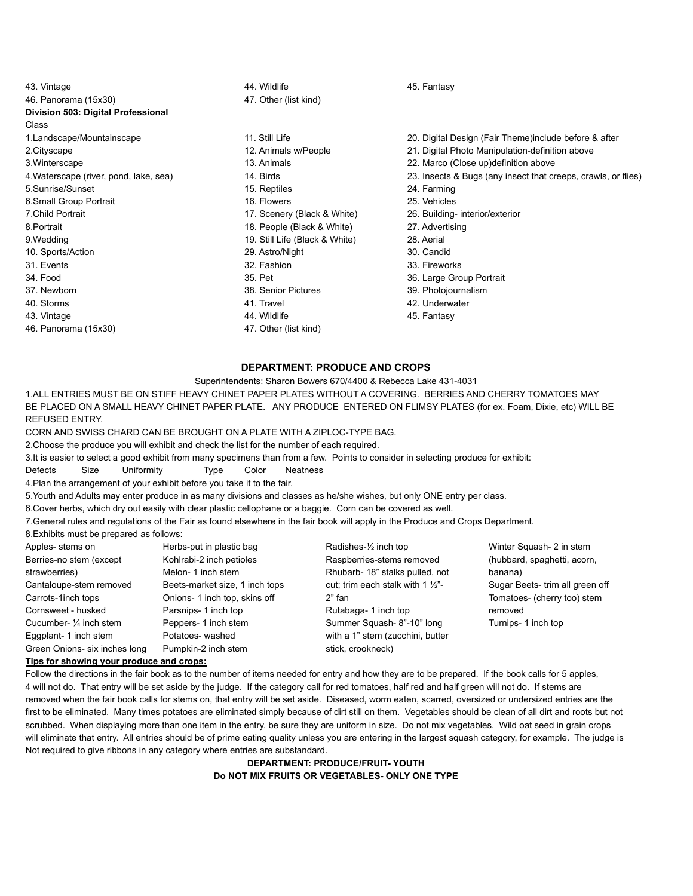| 44. Wildlife<br>45. Fantasy                  |
|----------------------------------------------|
| 47. Other (list kind)                        |
|                                              |
|                                              |
| 11. Still Life<br>20. Digital D              |
| 12. Animals w/People<br>21. Digital Pl       |
| 13. Animals<br>22. Marco (C                  |
| 14. Birds<br>23. Insects $\delta$            |
| 15. Reptiles<br>24. Farming                  |
| 16. Flowers<br>25. Vehicles                  |
| 17. Scenery (Black & White)<br>26. Building- |
| 18. People (Black & White)<br>27. Advertisi  |
| 19. Still Life (Black & White)<br>28. Aerial |
| 29. Astro/Night<br>30. Candid                |
| 32. Fashion<br>33. Firework                  |
| 35. Pet<br>36. Large Gr                      |
| 38. Senior Pictures<br>39. Photojou          |
| 42. Underwa<br>41. Travel                    |
|                                              |

- 
- 
- 
- 
- 
- 
- 
- 
- 9. Still Life (Black & White) 28. Aerial
- 
- 
- 
- 
- 
- 46. Panorama (15x30) 47. Other (list kind)
- Wildlife **45. Fantasy**
- Still Life 1.1.1.1.1.1.1.20. Digital Design (Fair Theme)include before & after
- 21. Digital Photo Manipulation-definition above 21. Digital Photo Manipulation-definition above
- 3. Animals 22. Marco (Close up)definition above
- 4. Birds (any insects & Bugs (any insect that creeps, crawls, or flies) 1. Birds 23. Insects & Bugs (any insect that creeps, crawls, or flies)
- 5. Reptiles 24. Farming
	-
- 7. Scenery (Black & White) 26. Building- interior/exterior
- Reople (Black & White) 27. Advertising
	-
- 1. Astro/Night 30. Candid
- 2. Fashion 33. Fireworks
- 36. Large Group Portrait
- 39. Photojournalism
- Analysis 1. Travel 1. Travel 1. Travel 1. Travel 1. Travel 1. Travel 1. Travel 1. Travel 1. Travel 1. Travel 1
- 43. Vintage 19 November 2012 12:30 November 2014. Wildlife 19th 19th 2015 12:45. Fantasy

## **DEPARTMENT: PRODUCE AND CROPS**

### Superintendents: Sharon Bowers 670/4400 & Rebecca Lake 431-4031

1.ALL ENTRIES MUST BE ON STIFF HEAVY CHINET PAPER PLATES WITHOUT A COVERING. BERRIES AND CHERRY TOMATOES MAY BE PLACED ON A SMALL HEAVY CHINET PAPER PLATE. ANY PRODUCE ENTERED ON FLIMSY PLATES (for ex. Foam, Dixie, etc) WILL BE REFUSED ENTRY.

CORN AND SWISS CHARD CAN BE BROUGHT ON A PLATE WITH A ZIPLOC-TYPE BAG.

2.Choose the produce you will exhibit and check the list for the number of each required.

3.It is easier to select a good exhibit from many specimens than from a few. Points to consider in selecting produce for exhibit:

Defects Size Uniformity Type Color Neatness

4.Plan the arrangement of your exhibit before you take it to the fair.

5.Youth and Adults may enter produce in as many divisions and classes as he/she wishes, but only ONE entry per class.

6.Cover herbs, which dry out easily with clear plastic cellophane or a baggie. Corn can be covered as well.

7.General rules and regulations of the Fair as found elsewhere in the fair book will apply in the Produce and Crops Department.

8.Exhibits must be prepared as follows:

| Apples-stems on               | Herbs-put in plastic bag       | Radishes-1/2 inch top                        | Winter Squash- 2 in stem        |
|-------------------------------|--------------------------------|----------------------------------------------|---------------------------------|
| Berries-no stem (except       | Kohlrabi-2 inch petioles       | Raspberries-stems removed                    | (hubbard, spaghetti, acorn,     |
| strawberries)                 | Melon-1 inch stem              | Rhubarb-18" stalks pulled, not               | banana)                         |
| Cantaloupe-stem removed       | Beets-market size, 1 inch tops | cut; trim each stalk with 1 $\frac{1}{2}$ "- | Sugar Beets- trim all green off |
| Carrots-1 inch tops           | Onions- 1 inch top, skins off  | 2" fan                                       | Tomatoes- (cherry too) stem     |
| Cornsweet - husked            | Parsnips- 1 inch top           | Rutabaga-1 inch top                          | removed                         |
| Cucumber- 1/4 inch stem       | Peppers- 1 inch stem           | Summer Squash-8"-10" long                    | Turnips- 1 inch top             |
| Eggplant-1 inch stem          | Potatoes-washed                | with a 1" stem (zucchini, butter             |                                 |
| Green Onions- six inches long | Pumpkin-2 inch stem            | stick, crookneck)                            |                                 |
|                               |                                |                                              |                                 |

#### **Tips for showing your produce and crops:**

Follow the directions in the fair book as to the number of items needed for entry and how they are to be prepared. If the book calls for 5 apples, 4 will not do. That entry will be set aside by the judge. If the category call for red tomatoes, half red and half green will not do. If stems are removed when the fair book calls for stems on, that entry will be set aside. Diseased, worm eaten, scarred, oversized or undersized entries are the first to be eliminated. Many times potatoes are eliminated simply because of dirt still on them. Vegetables should be clean of all dirt and roots but not scrubbed. When displaying more than one item in the entry, be sure they are uniform in size. Do not mix vegetables. Wild oat seed in grain crops will eliminate that entry. All entries should be of prime eating quality unless you are entering in the largest squash category, for example. The judge is Not required to give ribbons in any category where entries are substandard.

> **DEPARTMENT: PRODUCE/FRUIT- YOUTH Do NOT MIX FRUITS OR VEGETABLES- ONLY ONE TYPE**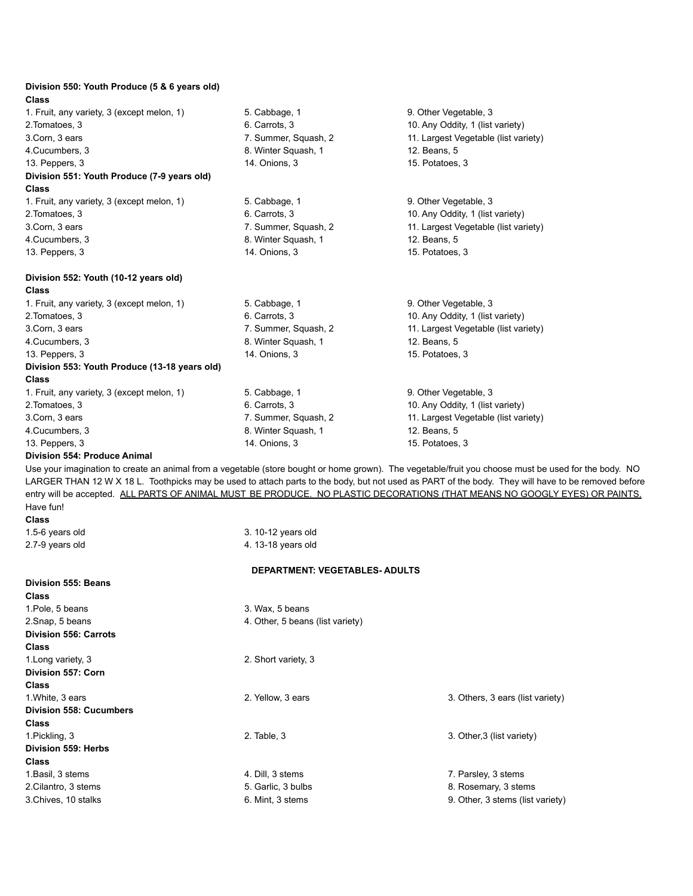| Division 550: Youth Produce (5 & 6 years old)<br><b>Class</b> |                                        |                                                                                                                                                                                                                                                                                                            |
|---------------------------------------------------------------|----------------------------------------|------------------------------------------------------------------------------------------------------------------------------------------------------------------------------------------------------------------------------------------------------------------------------------------------------------|
| 1. Fruit, any variety, 3 (except melon, 1)                    | 5. Cabbage, 1                          | 9. Other Vegetable, 3                                                                                                                                                                                                                                                                                      |
| 2. Tomatoes, 3                                                | 6. Carrots, 3                          | 10. Any Oddity, 1 (list variety)                                                                                                                                                                                                                                                                           |
| 3.Corn, 3 ears                                                | 7. Summer, Squash, 2                   | 11. Largest Vegetable (list variety)                                                                                                                                                                                                                                                                       |
| 4. Cucumbers, 3                                               | 8. Winter Squash, 1                    | 12. Beans, 5                                                                                                                                                                                                                                                                                               |
| 13. Peppers, 3                                                | 14. Onions, 3                          | 15. Potatoes, 3                                                                                                                                                                                                                                                                                            |
| Division 551: Youth Produce (7-9 years old)<br>Class          |                                        |                                                                                                                                                                                                                                                                                                            |
| 1. Fruit, any variety, 3 (except melon, 1)                    | 5. Cabbage, 1                          | 9. Other Vegetable, 3                                                                                                                                                                                                                                                                                      |
| 2. Tomatoes, 3                                                | 6. Carrots, 3                          | 10. Any Oddity, 1 (list variety)                                                                                                                                                                                                                                                                           |
| 3.Corn, 3 ears                                                | 7. Summer, Squash, 2                   | 11. Largest Vegetable (list variety)                                                                                                                                                                                                                                                                       |
| 4. Cucumbers, 3                                               | 8. Winter Squash, 1                    | 12. Beans, 5                                                                                                                                                                                                                                                                                               |
| 13. Peppers, 3                                                | 14. Onions, 3                          | 15. Potatoes, 3                                                                                                                                                                                                                                                                                            |
| Division 552: Youth (10-12 years old)<br><b>Class</b>         |                                        |                                                                                                                                                                                                                                                                                                            |
| 1. Fruit, any variety, 3 (except melon, 1)                    | 5. Cabbage, 1                          | 9. Other Vegetable, 3                                                                                                                                                                                                                                                                                      |
| 2.Tomatoes, 3                                                 | 6. Carrots, 3                          | 10. Any Oddity, 1 (list variety)                                                                                                                                                                                                                                                                           |
| 3.Corn, 3 ears                                                | 7. Summer, Squash, 2                   | 11. Largest Vegetable (list variety)                                                                                                                                                                                                                                                                       |
| 4. Cucumbers, 3                                               | 8. Winter Squash, 1                    | 12. Beans, 5                                                                                                                                                                                                                                                                                               |
| 13. Peppers, 3                                                | 14. Onions, 3                          | 15. Potatoes, 3                                                                                                                                                                                                                                                                                            |
| Division 553: Youth Produce (13-18 years old)                 |                                        |                                                                                                                                                                                                                                                                                                            |
| Class                                                         |                                        |                                                                                                                                                                                                                                                                                                            |
| 1. Fruit, any variety, 3 (except melon, 1)                    | 5. Cabbage, 1                          | 9. Other Vegetable, 3                                                                                                                                                                                                                                                                                      |
| 2. Tomatoes, 3                                                | 6. Carrots, 3                          | 10. Any Oddity, 1 (list variety)                                                                                                                                                                                                                                                                           |
| 3.Corn, 3 ears                                                | 7. Summer, Squash, 2                   | 11. Largest Vegetable (list variety)                                                                                                                                                                                                                                                                       |
| 4. Cucumbers, 3                                               | 8. Winter Squash, 1                    | 12. Beans, 5                                                                                                                                                                                                                                                                                               |
| 13. Peppers, 3                                                | 14. Onions, 3                          | 15. Potatoes, 3                                                                                                                                                                                                                                                                                            |
| Division 554: Produce Animal                                  |                                        |                                                                                                                                                                                                                                                                                                            |
|                                                               |                                        | Use your imagination to create an animal from a vegetable (store bought or home grown). The vegetable/fruit you choose must be used for the body. NO<br>LARGER THAN 12 W X 18 L. Toothpicks may be used to attach parts to the body, but not used as PART of the body. They will have to be removed before |
|                                                               |                                        | entry will be accepted. ALL PARTS OF ANIMAL MUST BE PRODUCE. NO PLASTIC DECORATIONS (THAT MEANS NO GOOGLY EYES) OR PAINTS.                                                                                                                                                                                 |
| Have fun!                                                     |                                        |                                                                                                                                                                                                                                                                                                            |
| Class                                                         |                                        |                                                                                                                                                                                                                                                                                                            |
| 1.5-6 years old                                               | 3. 10-12 years old                     |                                                                                                                                                                                                                                                                                                            |
| 2.7-9 years old                                               | 4. 13-18 years old                     |                                                                                                                                                                                                                                                                                                            |
|                                                               | <b>DEPARTMENT: VEGETABLES- ADULTS</b>  |                                                                                                                                                                                                                                                                                                            |
| <b>Division 555: Beans</b>                                    |                                        |                                                                                                                                                                                                                                                                                                            |
| Class                                                         |                                        |                                                                                                                                                                                                                                                                                                            |
| 1. Pole, 5 beans                                              | 3. Wax, 5 beans                        |                                                                                                                                                                                                                                                                                                            |
| 2. Snap, 5 beans                                              | 4. Other, 5 beans (list variety)       |                                                                                                                                                                                                                                                                                                            |
| <b>Division 556: Carrots</b>                                  |                                        |                                                                                                                                                                                                                                                                                                            |
| Class                                                         |                                        |                                                                                                                                                                                                                                                                                                            |
| 1. Long variety, 3                                            | 2. Short variety, 3                    |                                                                                                                                                                                                                                                                                                            |
| Division 557: Corn                                            |                                        |                                                                                                                                                                                                                                                                                                            |
| <b>Class</b>                                                  |                                        |                                                                                                                                                                                                                                                                                                            |
| 1. White, 3 ears                                              | 2. Yellow, 3 ears                      | 3. Others, 3 ears (list variety)                                                                                                                                                                                                                                                                           |
| <b>Division 558: Cucumbers</b>                                |                                        |                                                                                                                                                                                                                                                                                                            |
| Class                                                         |                                        |                                                                                                                                                                                                                                                                                                            |
| 1. Pickling, 3                                                | 2. Table, 3                            | 3. Other, 3 (list variety)                                                                                                                                                                                                                                                                                 |
| Division 559: Herbs                                           |                                        |                                                                                                                                                                                                                                                                                                            |
| Class                                                         |                                        |                                                                                                                                                                                                                                                                                                            |
| 1. Basil, 3 stems                                             | 4. Dill, 3 stems                       | 7. Parsley, 3 stems                                                                                                                                                                                                                                                                                        |
| 2. Cilantro, 3 stems<br>3.Chives, 10 stalks                   | 5. Garlic, 3 bulbs<br>6. Mint, 3 stems | 8. Rosemary, 3 stems<br>9. Other, 3 stems (list variety)                                                                                                                                                                                                                                                   |
|                                                               |                                        |                                                                                                                                                                                                                                                                                                            |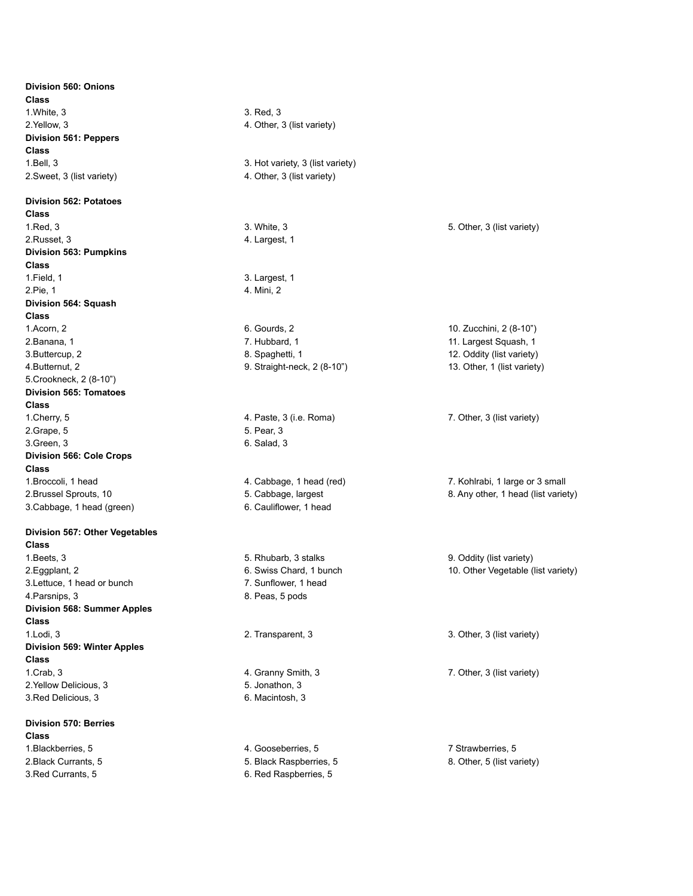**Division 560: Onions Class** 1. White, 3 3. Red, 3 2. Yellow, 3 2. Yellow, 3 **Division 561: Peppers Class** 2.Sweet, 3 (list variety) 4. Other, 3 (list variety)

**Division 562: Potatoes Class** 1. Red, 3 3. White, 3 3. White, 3 3. White, 3 3. White, 3 3. White, 3 3. White, 3 3. White, 3 (list variety) 2. Russet, 3 and 2. Russet, 3 and 2. Russet, 3 and 2. Largest, 1 **Division 563: Pumpkins Class** 1. Field, 1 3. Largest, 1 2. Pie, 1 4. Mini, 2 **Division 564: Squash Class** 1.Acorn, 2 6. Gourds, 2 10. Zucchini, 2 (8-10") 2.Banana, 1 2.Banana, 1 2.Banana, 1 2.Banana, 1 2.Banana, 1 2.Banana, 1 2.Banana, 1 2.Banana, 1 2.Banana, 1 2.Banana, 1 2.Banana, 1 2.Banana, 1 2.Banana, 1 2.Banana, 1 2.Banana, 2.Banana, 2.Banana, 2.Banana, 2.Banana, 2.Ba 3. Buttercup, 2 8. Spaghetti, 1 3. Duttercup, 2 8. Spaghetti, 1 3. Oddity (list variety) 4.Butternut, 2 **9. Straight-neck, 2 (8-10")** 13. Other, 1 (list variety) 5.Crookneck, 2 (8-10") **Division 565: Tomatoes Class** 1. Cherry, 5 **1. Pastella Community** 3 (i.e. Roma) **7. Other, 3 (ist variety) 7. Other, 3 (ist variety)** 2.Grape, 5 5. Pear, 3 3. Green, 3 6. Salad, 3 **Division 566: Cole Crops Class** 1.Broccoli, 1 head 4. Cabbage, 1 head (red) 7. Kohlrabi, 1 large or 3 small 3.Cabbage, 1 head (green) 6. Cauliflower, 1 head

#### **Division 567: Other Vegetables Class**

1. Beets, 3 5. Rhubarb, 3 stalks 9. Oddity (list variety) 1. Beets, 3 3. Lettuce, 1 head or bunch 7. Sunflower, 1 head A. Parsnips, 3 8. Peas, 5 pods **Division 568: Summer Apples Class** 1. Lodi, 3 3. Other, 3 (list variety) 2. Transparent, 3 3. Other, 3 (list variety) **Division 569: Winter Apples Class** 1.Crab, 3 4. Granny Smith, 3 7. Other, 3 (list variety) 2. Yellow Delicious, 3 5. Jonathon, 3 3.Red Delicious, 3 6. Macintosh, 3

## **Division 570: Berries**

**Class** 1.Blackberries, 5 4. Gooseberries, 5 7 Strawberries, 5 3. Red Currants, 5 6. Red Raspberries, 5

1. Bell, 3 3. Hot variety, 3 (list variety)

2. Black Currants, 5. Black Raspberries, 5. Black Responsives, 5. 8. Other, 5 (list variety)

2.Brussel Sprouts, 10 **5. Cabbage, largest 8. Any other, 1 head (list variety)** 8. Any other, 1 head (list variety)

2. Eggplant, 2 **6. Swiss Chard, 1 bunch 10. Other Vegetable (list variety)** 2. Eggplant, 2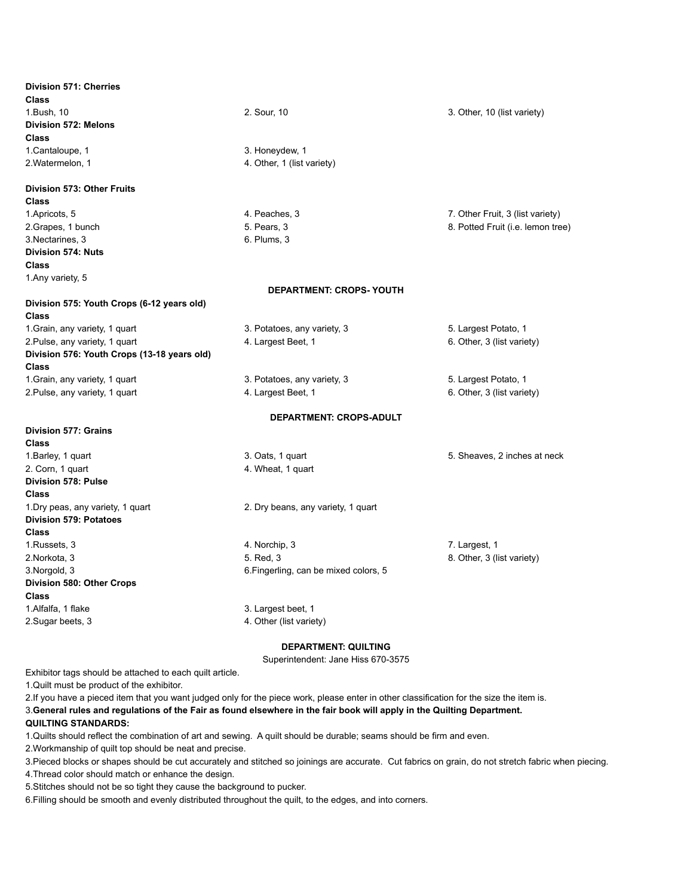| Division 571: Cherries                      |                                       |                                   |
|---------------------------------------------|---------------------------------------|-----------------------------------|
| <b>Class</b>                                |                                       |                                   |
| 1.Bush, 10                                  | 2. Sour, 10                           | 3. Other, 10 (list variety)       |
| <b>Division 572: Melons</b>                 |                                       |                                   |
| <b>Class</b>                                |                                       |                                   |
| 1. Cantaloupe, 1                            | 3. Honeydew, 1                        |                                   |
| 2. Watermelon, 1                            | 4. Other, 1 (list variety)            |                                   |
| Division 573: Other Fruits                  |                                       |                                   |
| <b>Class</b>                                |                                       |                                   |
| 1. Apricots, 5                              | 4. Peaches, 3                         | 7. Other Fruit, 3 (list variety)  |
| 2. Grapes, 1 bunch                          | 5. Pears, 3                           | 8. Potted Fruit (i.e. lemon tree) |
| 3. Nectarines, 3                            | 6. Plums, 3                           |                                   |
| Division 574: Nuts                          |                                       |                                   |
| Class                                       |                                       |                                   |
| 1. Any variety, 5                           |                                       |                                   |
|                                             | <b>DEPARTMENT: CROPS- YOUTH</b>       |                                   |
| Division 575: Youth Crops (6-12 years old)  |                                       |                                   |
| <b>Class</b>                                |                                       |                                   |
| 1. Grain, any variety, 1 quart              | 3. Potatoes, any variety, 3           | 5. Largest Potato, 1              |
| 2. Pulse, any variety, 1 quart              | 4. Largest Beet, 1                    | 6. Other, 3 (list variety)        |
| Division 576: Youth Crops (13-18 years old) |                                       |                                   |
| <b>Class</b>                                |                                       |                                   |
| 1. Grain, any variety, 1 quart              | 3. Potatoes, any variety, 3           | 5. Largest Potato, 1              |
| 2. Pulse, any variety, 1 quart              | 4. Largest Beet, 1                    | 6. Other, 3 (list variety)        |
|                                             | <b>DEPARTMENT: CROPS-ADULT</b>        |                                   |
| Division 577: Grains                        |                                       |                                   |
| Class                                       |                                       |                                   |
| 1. Barley, 1 quart                          | 3. Oats, 1 quart                      | 5. Sheaves, 2 inches at neck      |
| 2. Corn, 1 quart                            | 4. Wheat, 1 quart                     |                                   |
| Division 578: Pulse                         |                                       |                                   |
| Class                                       |                                       |                                   |
| 1. Dry peas, any variety, 1 quart           | 2. Dry beans, any variety, 1 quart    |                                   |
| <b>Division 579: Potatoes</b>               |                                       |                                   |
| <b>Class</b>                                |                                       |                                   |
| 1. Russets, 3                               | 4. Norchip, 3                         | 7. Largest, 1                     |
| 2.Norkota, 3                                | 5. Red, 3                             | 8. Other, 3 (list variety)        |
| 3. Norgold, 3                               | 6. Fingerling, can be mixed colors, 5 |                                   |
| Division 580: Other Crops                   |                                       |                                   |
| <b>Class</b>                                |                                       |                                   |
| 1. Alfalfa, 1 flake                         | 3. Largest beet, 1                    |                                   |
| 2. Sugar beets, 3                           | 4. Other (list variety)               |                                   |

## **DEPARTMENT: QUILTING**

Superintendent: Jane Hiss 670-3575

Exhibitor tags should be attached to each quilt article.

1.Quilt must be product of the exhibitor.

2.If you have a pieced item that you want judged only for the piece work, please enter in other classification for the size the item is. 3. General rules and regulations of the Fair as found elsewhere in the fair book will apply in the Quilting Department.

#### **QUILTING STANDARDS:**

1.Quilts should reflect the combination of art and sewing. A quilt should be durable; seams should be firm and even.

2.Workmanship of quilt top should be neat and precise.

3.Pieced blocks or shapes should be cut accurately and stitched so joinings are accurate. Cut fabrics on grain, do not stretch fabric when piecing.

4.Thread color should match or enhance the design.

5.Stitches should not be so tight they cause the background to pucker.

6.Filling should be smooth and evenly distributed throughout the quilt, to the edges, and into corners.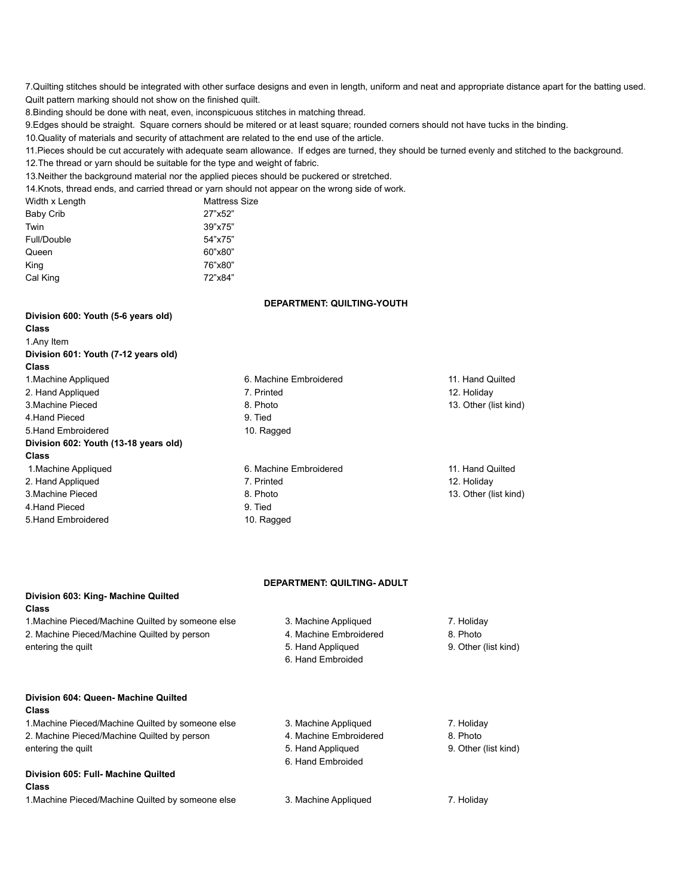7.Quilting stitches should be integrated with other surface designs and even in length, uniform and neat and appropriate distance apart for the batting used. Quilt pattern marking should not show on the finished quilt.

8.Binding should be done with neat, even, inconspicuous stitches in matching thread.

9.Edges should be straight. Square corners should be mitered or at least square; rounded corners should not have tucks in the binding.

10.Quality of materials and security of attachment are related to the end use of the article.

11.Pieces should be cut accurately with adequate seam allowance. If edges are turned, they should be turned evenly and stitched to the background.

12.The thread or yarn should be suitable for the type and weight of fabric.

13.Neither the background material nor the applied pieces should be puckered or stretched.

14.Knots, thread ends, and carried thread or yarn should not appear on the wrong side of work.

| Width x Length | <b>Mattress Size</b> |
|----------------|----------------------|
| Baby Crib      | 27"x52"              |
| Twin           | 39"x75"              |
| Full/Double    | 54"x75"              |
| Queen          | 60"x80"              |
| King           | 76"x80"              |
| Cal King       | 72"x84"              |
|                |                      |

#### **DEPARTMENT: QUILTING-YOUTH**

## **Division 600: Youth (5-6 years old) Class** 1.Any Item **Division 601: Youth (7-12 years old) Class** 1.Machine Appliqued 6. Machine Embroidered 11. Hand Quilted 2. Hand Appliqued 2. Holiday 2. Holiday 2. Holiday 2. Holiday 2. Holiday 3. Holiday 3. Holiday 3. Holiday 3. Holiday 3. Machine Pieced **8. Photo** 13. Other (list kind) 4.Hand Pieced 9. Tied 5. Hand Embroidered 10. Ragged **Division 602: Youth (13-18 years old) Class** 1.Machine Appliqued 6. Machine Embroidered 11. Hand Quilted 2. Hand Appliqued 2. Holiday 2. Holiday 2. Holiday 2. Holiday 2. Holiday 3. Holiday 3. Holiday 3. Holiday 3. Holiday 3. Machine Pieced **8. Photo** 13. Other (list kind) 4.Hand Pieced 9. Tied 5. Hand Embroidered 10. Ragged

#### **DEPARTMENT: QUILTING- ADULT**

## **Division 603: King- Machine Quilted Class**

1.Machine Pieced/Machine Quilted by someone else 3. Machine Appliqued 7. Holiday 2. Machine Pieced/Machine Quilted by person 4. Machine Embroidered 8. Photo entering the quilt entering the quilt entering the quilt of the state of the state of the state of the state of the state of the state of the state of the state of the state of the state of the state of the state of the st

- 
- 
- 
- 6. Hand Embroided
- 
- 
- 

**Division 604: Queen- Machine Quilted**

#### **Class**

1.Machine Pieced/Machine Quilted by someone else 3. Machine Appliqued 7. Holiday 2. Machine Pieced/Machine Quilted by person 4. Machine Embroidered 8. Photo entering the quilt entering the quilt entering the quilt state of the state of the state of the state of the state of the state of the state of the state of the state of the state of the state of the state of the state of

# **Division 605: Full- Machine Quilted**

## **Class**

1.Machine Pieced/Machine Quilted by someone else 3. Machine Appliqued 7. Holiday

6. Hand Embroided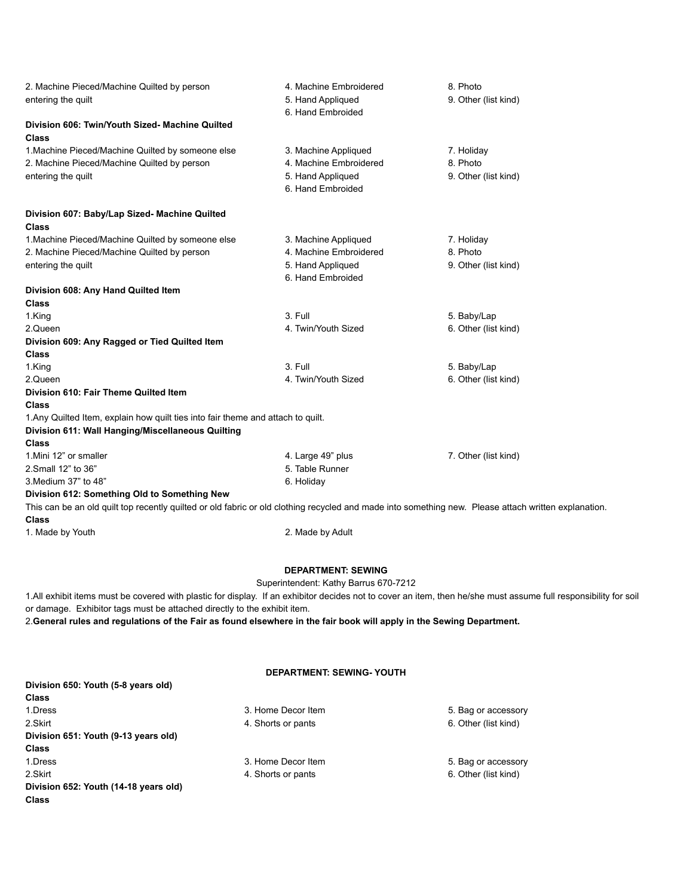| 2. Machine Pieced/Machine Quilted by person                                                                                                          | 4. Machine Embroidered | 8. Photo             |
|------------------------------------------------------------------------------------------------------------------------------------------------------|------------------------|----------------------|
| entering the quilt                                                                                                                                   | 5. Hand Appliqued      | 9. Other (list kind) |
|                                                                                                                                                      | 6. Hand Embroided      |                      |
| Division 606: Twin/Youth Sized- Machine Quilted<br>Class                                                                                             |                        |                      |
| 1. Machine Pieced/Machine Quilted by someone else                                                                                                    | 3. Machine Appliqued   | 7. Holiday           |
| 2. Machine Pieced/Machine Quilted by person                                                                                                          | 4. Machine Embroidered | 8. Photo             |
| entering the quilt                                                                                                                                   | 5. Hand Appliqued      | 9. Other (list kind) |
|                                                                                                                                                      | 6. Hand Embroided      |                      |
| Division 607: Baby/Lap Sized- Machine Quilted<br><b>Class</b>                                                                                        |                        |                      |
| 1. Machine Pieced/Machine Quilted by someone else                                                                                                    | 3. Machine Appliqued   | 7. Holiday           |
| 2. Machine Pieced/Machine Quilted by person                                                                                                          | 4. Machine Embroidered | 8. Photo             |
| entering the quilt                                                                                                                                   | 5. Hand Appliqued      | 9. Other (list kind) |
|                                                                                                                                                      | 6. Hand Embroided      |                      |
| Division 608: Any Hand Quilted Item                                                                                                                  |                        |                      |
| <b>Class</b>                                                                                                                                         |                        |                      |
| 1.King                                                                                                                                               | 3. Full                | 5. Baby/Lap          |
| 2.Queen                                                                                                                                              | 4. Twin/Youth Sized    | 6. Other (list kind) |
| Division 609: Any Ragged or Tied Quilted Item                                                                                                        |                        |                      |
| <b>Class</b>                                                                                                                                         |                        |                      |
| 1.King                                                                                                                                               | 3. Full                | 5. Baby/Lap          |
| 2.Queen                                                                                                                                              | 4. Twin/Youth Sized    | 6. Other (list kind) |
| Division 610: Fair Theme Quilted Item                                                                                                                |                        |                      |
| <b>Class</b>                                                                                                                                         |                        |                      |
| 1. Any Quilted Item, explain how quilt ties into fair theme and attach to quilt.                                                                     |                        |                      |
| Division 611: Wall Hanging/Miscellaneous Quilting                                                                                                    |                        |                      |
| Class                                                                                                                                                |                        |                      |
| 1. Mini 12" or smaller                                                                                                                               | 4. Large 49" plus      | 7. Other (list kind) |
| 2.Small 12" to 36"                                                                                                                                   | 5. Table Runner        |                      |
| 3. Medium 37" to 48"                                                                                                                                 | 6. Holiday             |                      |
| Division 612: Something Old to Something New                                                                                                         |                        |                      |
| This can be an old quilt top recently quilted or old fabric or old clothing recycled and made into something new. Please attach written explanation. |                        |                      |
| Class                                                                                                                                                |                        |                      |

1. Made by Youth 2. Made by Adult

#### **DEPARTMENT: SEWING**

Superintendent: Kathy Barrus 670-7212

1.All exhibit items must be covered with plastic for display. If an exhibitor decides not to cover an item, then he/she must assume full responsibility for soil or damage. Exhibitor tags must be attached directly to the exhibit item.

2. General rules and regulations of the Fair as found elsewhere in the fair book will apply in the Sewing Department.

## **DEPARTMENT: SEWING- YOUTH**

| Division 650: Youth (5-8 years old)   |                    |                      |
|---------------------------------------|--------------------|----------------------|
| <b>Class</b>                          |                    |                      |
| 1.Dress                               | 3. Home Decor Item | 5. Bag or accessory  |
| 2.Skirt                               | 4. Shorts or pants | 6. Other (list kind) |
| Division 651: Youth (9-13 years old)  |                    |                      |
| <b>Class</b>                          |                    |                      |
| 1.Dress                               | 3. Home Decor Item | 5. Bag or accessory  |
| 2.Skirt                               | 4. Shorts or pants | 6. Other (list kind) |
| Division 652: Youth (14-18 years old) |                    |                      |
| <b>Class</b>                          |                    |                      |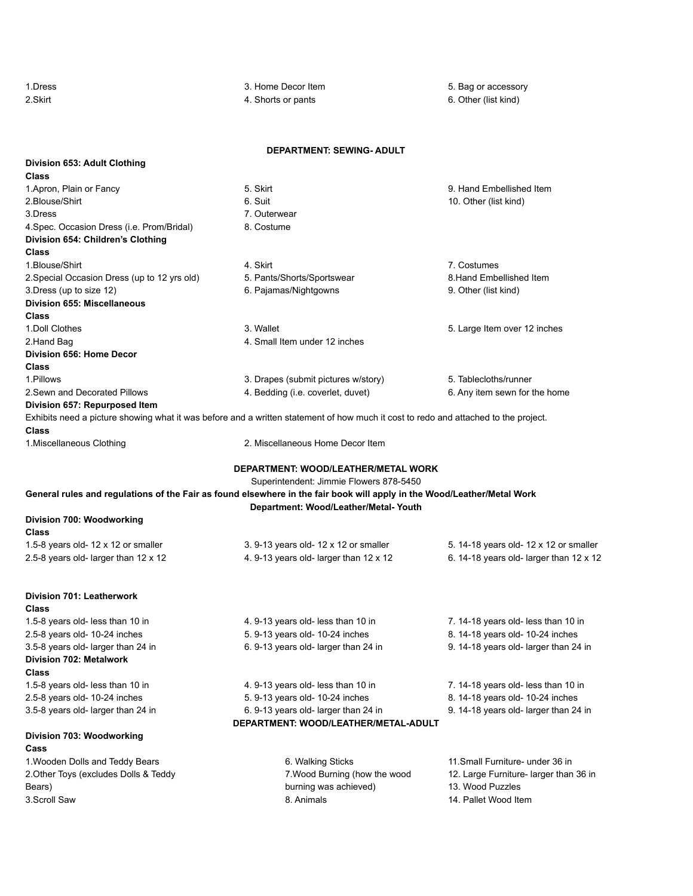| 1.Dress                                      | 3. Home Decor Item                                                                                                                  | 5. Bag or accessory                     |
|----------------------------------------------|-------------------------------------------------------------------------------------------------------------------------------------|-----------------------------------------|
| 2.Skirt                                      | 4. Shorts or pants                                                                                                                  | 6. Other (list kind)                    |
|                                              |                                                                                                                                     |                                         |
|                                              | <b>DEPARTMENT: SEWING- ADULT</b>                                                                                                    |                                         |
| Division 653: Adult Clothing<br>Class        |                                                                                                                                     |                                         |
| 1. Apron, Plain or Fancy                     | 5. Skirt                                                                                                                            | 9. Hand Embellished Item                |
| 2.Blouse/Shirt                               | 6. Suit                                                                                                                             | 10. Other (list kind)                   |
| 3.Dress                                      | 7. Outerwear                                                                                                                        |                                         |
| 4. Spec. Occasion Dress (i.e. Prom/Bridal)   | 8. Costume                                                                                                                          |                                         |
| Division 654: Children's Clothing            |                                                                                                                                     |                                         |
| <b>Class</b>                                 |                                                                                                                                     |                                         |
| 1. Blouse/Shirt                              | 4. Skirt                                                                                                                            | 7. Costumes                             |
| 2. Special Occasion Dress (up to 12 yrs old) | 5. Pants/Shorts/Sportswear                                                                                                          | 8. Hand Embellished Item                |
| 3.Dress (up to size 12)                      | 6. Pajamas/Nightgowns                                                                                                               | 9. Other (list kind)                    |
| <b>Division 655: Miscellaneous</b>           |                                                                                                                                     |                                         |
| <b>Class</b>                                 |                                                                                                                                     |                                         |
| 1. Doll Clothes                              | 3. Wallet                                                                                                                           | 5. Large Item over 12 inches            |
| 2.Hand Bag                                   | 4. Small Item under 12 inches                                                                                                       |                                         |
| Division 656: Home Decor                     |                                                                                                                                     |                                         |
| <b>Class</b>                                 |                                                                                                                                     |                                         |
| 1.Pillows                                    | 3. Drapes (submit pictures w/story)                                                                                                 | 5. Tablecloths/runner                   |
| 2. Sewn and Decorated Pillows                | 4. Bedding (i.e. coverlet, duvet)                                                                                                   | 6. Any item sewn for the home           |
| Division 657: Repurposed Item                |                                                                                                                                     |                                         |
| Class                                        | Exhibits need a picture showing what it was before and a written statement of how much it cost to redo and attached to the project. |                                         |
| 1. Miscellaneous Clothing                    | 2. Miscellaneous Home Decor Item                                                                                                    |                                         |
|                                              |                                                                                                                                     |                                         |
|                                              | DEPARTMENT: WOOD/LEATHER/METAL WORK                                                                                                 |                                         |
|                                              | Superintendent: Jimmie Flowers 878-5450                                                                                             |                                         |
|                                              | General rules and regulations of the Fair as found elsewhere in the fair book will apply in the Wood/Leather/Metal Work             |                                         |
|                                              | Department: Wood/Leather/Metal-Youth                                                                                                |                                         |
| Division 700: Woodworking                    |                                                                                                                                     |                                         |
| <b>Class</b>                                 |                                                                                                                                     |                                         |
| 1.5-8 years old- 12 x 12 or smaller          | 3. 9-13 years old- 12 x 12 or smaller                                                                                               | 5. 14-18 years old- 12 x 12 or smaller  |
| 2.5-8 years old- larger than 12 x 12         | 4. 9-13 years old- larger than 12 x 12                                                                                              | 6. 14-18 years old- larger than 12 x 12 |
|                                              |                                                                                                                                     |                                         |
| Division 701: Leatherwork                    |                                                                                                                                     |                                         |
| <b>Class</b>                                 |                                                                                                                                     |                                         |
| 1.5-8 years old- less than 10 in             | 4. 9-13 years old- less than 10 in                                                                                                  | 7. 14-18 years old- less than 10 in     |
| 2.5-8 years old- 10-24 inches                | 5. 9-13 years old- 10-24 inches                                                                                                     | 8. 14-18 years old- 10-24 inches        |
| 3.5-8 years old- larger than 24 in           | 6. 9-13 years old- larger than 24 in                                                                                                | 9. 14-18 years old- larger than 24 in   |
| Division 702: Metalwork                      |                                                                                                                                     |                                         |
| <b>Class</b>                                 |                                                                                                                                     |                                         |
| 1.5-8 years old- less than 10 in             | 4. 9-13 years old- less than 10 in                                                                                                  | 7. 14-18 years old- less than 10 in     |
| 2.5-8 years old- 10-24 inches                | 5. 9-13 years old- 10-24 inches                                                                                                     | 8. 14-18 years old- 10-24 inches        |
| 3.5-8 years old- larger than 24 in           | 6. 9-13 years old- larger than 24 in                                                                                                | 9. 14-18 years old- larger than 24 in   |
|                                              | DEPARTMENT: WOOD/LEATHER/METAL-ADULT                                                                                                |                                         |
| Division 703: Woodworking                    |                                                                                                                                     |                                         |
| Cass                                         |                                                                                                                                     |                                         |
| 1. Wooden Dolls and Teddy Bears              | 6. Walking Sticks                                                                                                                   | 11.Small Furniture- under 36 in         |
| 2. Other Toys (excludes Dolls & Teddy        | 7. Wood Burning (how the wood                                                                                                       | 12. Large Furniture- larger than 36 in  |
| Bears)                                       | burning was achieved)                                                                                                               | 13. Wood Puzzles                        |
| 3.Scroll Saw                                 | 8. Animals                                                                                                                          | 14. Pallet Wood Item                    |